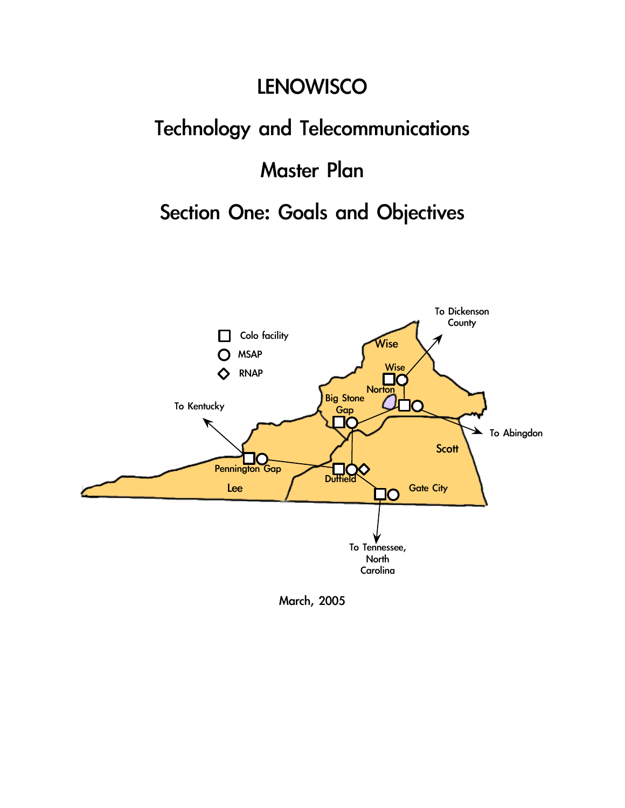### **LENOWISCO**

### Technology and Telecommunications

### Master Plan

### Section One: Goals and Objectives



March, 2005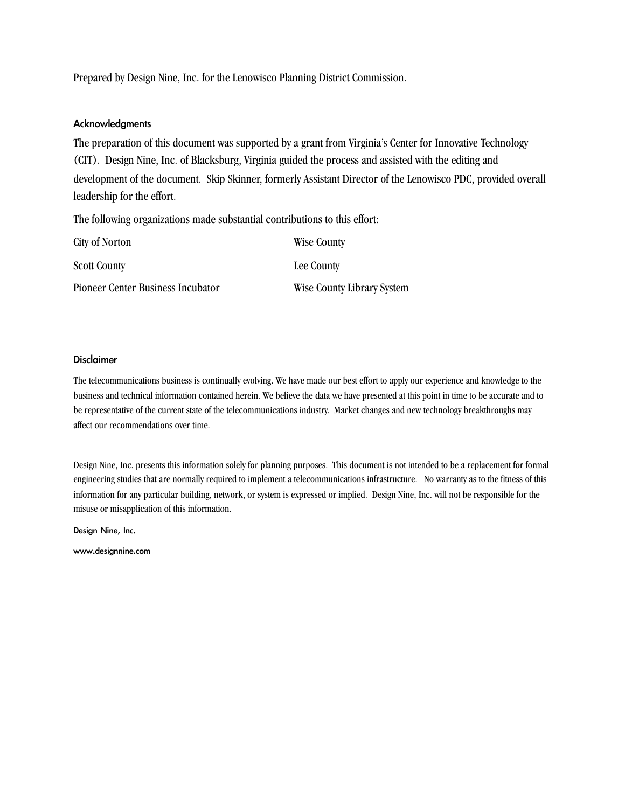Prepared by Design Nine, Inc. for the Lenowisco Planning District Commission.

#### Acknowledgments

The preparation of this document was supported by a grant from Virginia's Center for Innovative Technology (CIT). Design Nine, Inc. of Blacksburg, Virginia guided the process and assisted with the editing and development of the document. Skip Skinner, formerly Assistant Director of the Lenowisco PDC, provided overall leadership for the effort.

The following organizations made substantial contributions to this effort:

| City of Norton                    | Wise County                |
|-----------------------------------|----------------------------|
| <b>Scott County</b>               | Lee County                 |
| Pioneer Center Business Incubator | Wise County Library System |

#### Disclaimer

The telecommunications business is continually evolving. We have made our best effort to apply our experience and knowledge to the business and technical information contained herein. We believe the data we have presented at this point in time to be accurate and to be representative of the current state of the telecommunications industry. Market changes and new technology breakthroughs may affect our recommendations over time.

Design Nine, Inc. presents this information solely for planning purposes. This document is not intended to be a replacement for formal engineering studies that are normally required to implement a telecommunications infrastructure. No warranty as to the fitness of this information for any particular building, network, or system is expressed or implied. Design Nine, Inc. will not be responsible for the misuse or misapplication of this information.

Design Nine, Inc.

www.designnine.com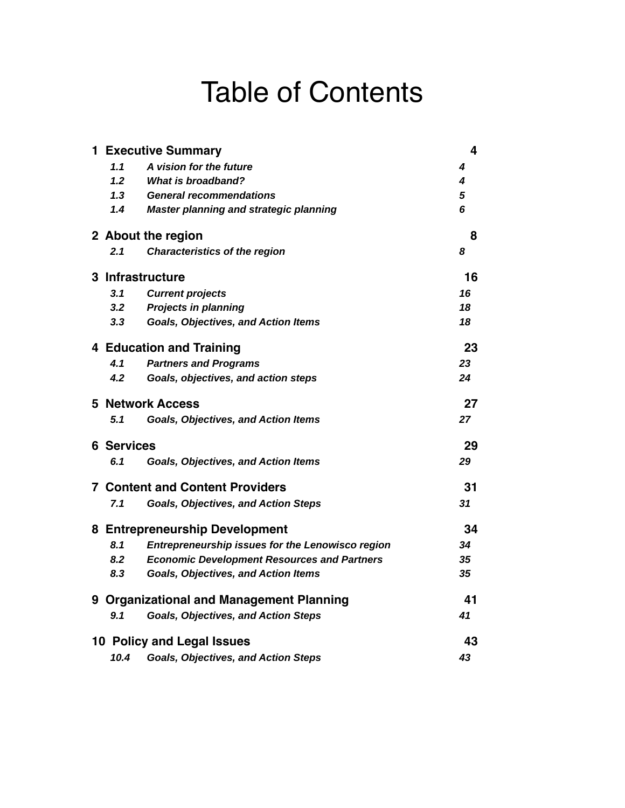### Table of Contents

|                   | <b>1 Executive Summary</b>                         | $\overline{\mathbf{4}}$ |
|-------------------|----------------------------------------------------|-------------------------|
| 1.1               | A vision for the future                            | 4                       |
| 1.2               | <b>What is broadband?</b>                          | 4                       |
| 1.3               | <b>General recommendations</b>                     | 5                       |
| 1.4               | Master planning and strategic planning             | 6                       |
|                   | 2 About the region                                 | 8                       |
| 2.1               | <b>Characteristics of the region</b>               | 8                       |
|                   | 3 Infrastructure                                   | 16                      |
| 3.1               | <b>Current projects</b>                            | 16                      |
| 3.2               | <b>Projects in planning</b>                        | 18                      |
| 3.3               | <b>Goals, Objectives, and Action Items</b>         | 18                      |
|                   | <b>4 Education and Training</b>                    | 23                      |
| 4.1               | <b>Partners and Programs</b>                       | 23                      |
| 4.2               | Goals, objectives, and action steps                | 24                      |
|                   | <b>5 Network Access</b>                            | 27                      |
| 5.1               | <b>Goals, Objectives, and Action Items</b>         | 27                      |
| <b>6 Services</b> |                                                    | 29                      |
| 6.1               | <b>Goals, Objectives, and Action Items</b>         | 29                      |
|                   | <b>7 Content and Content Providers</b>             | 31                      |
| 7.1               | <b>Goals, Objectives, and Action Steps</b>         | 31                      |
|                   | 8 Entrepreneurship Development                     | 34                      |
| 8.1               | Entrepreneurship issues for the Lenowisco region   | 34                      |
| 8.2               | <b>Economic Development Resources and Partners</b> | 35                      |
| 8.3               | <b>Goals, Objectives, and Action Items</b>         | 35                      |
|                   | 9 Organizational and Management Planning           | 41                      |
| 9.1               | <b>Goals, Objectives, and Action Steps</b>         | 41                      |
|                   | 10 Policy and Legal Issues                         | 43                      |
| 10.4              | <b>Goals, Objectives, and Action Steps</b>         | 43                      |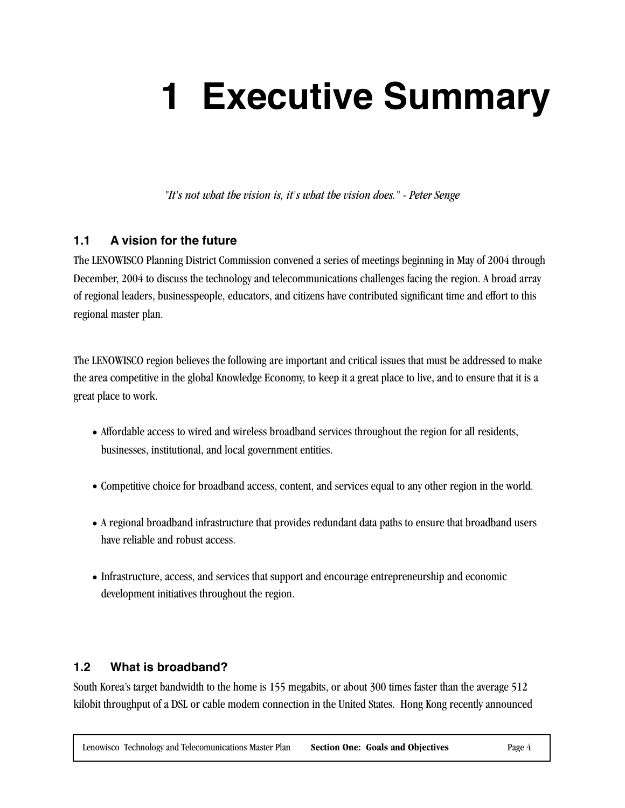## **1 Executive Summary**

*"It's not what the vision is, it's what the vision does." - Peter Senge*

#### **1.1 A vision for the future**

The LENOWISCO Planning District Commission convened a series of meetings beginning in May of 2004 through December, 2004 to discuss the technology and telecommunications challenges facing the region. A broad array of regional leaders, businesspeople, educators, and citizens have contributed significant time and effort to this regional master plan.

The LENOWISCO region believes the following are important and critical issues that must be addressed to make the area competitive in the global Knowledge Economy, to keep it a great place to live, and to ensure that it is a great place to work.

- Affordable access to wired and wireless broadband services throughout the region for all residents, businesses, institutional, and local government entities.
- Competitive choice for broadband access, content, and services equal to any other region in the world.
- A regional broadband infrastructure that provides redundant data paths to ensure that broadband users have reliable and robust access.
- Infrastructure, access, and services that support and encourage entrepreneurship and economic development initiatives throughout the region.

#### **1.2 What is broadband?**

South Korea's target bandwidth to the home is 155 megabits, or about 300 times faster than the average 512 kilobit throughput of a DSL or cable modem connection in the United States. Hong Kong recently announced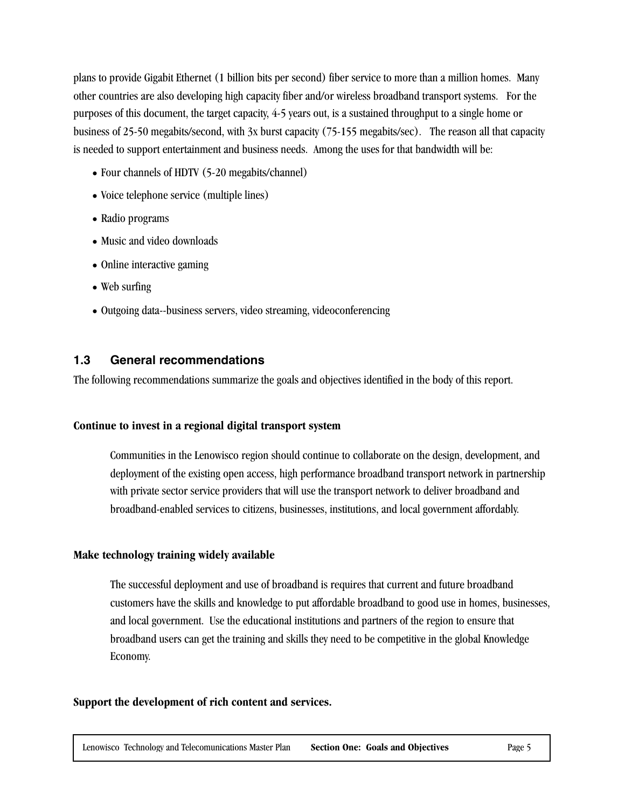plans to provide Gigabit Ethernet (1 billion bits per second) fiber service to more than a million homes. Many other countries are also developing high capacity fiber and/or wireless broadband transport systems. For the purposes of this document, the target capacity, 4-5 years out, is a sustained throughput to a single home or business of 25-50 megabits/second, with 3x burst capacity (75-155 megabits/sec). The reason all that capacity is needed to support entertainment and business needs. Among the uses for that bandwidth will be:

- Four channels of HDTV (5-20 megabits/channel)
- Voice telephone service (multiple lines)
- Radio programs
- Music and video downloads
- Online interactive gaming
- Web surfing
- Outgoing data--business servers, video streaming, videoconferencing

#### **1.3 General recommendations**

The following recommendations summarize the goals and objectives identified in the body of this report.

#### **Continue to invest in a regional digital transport system**

Communities in the Lenowisco region should continue to collaborate on the design, development, and deployment of the existing open access, high performance broadband transport network in partnership with private sector service providers that will use the transport network to deliver broadband and broadband-enabled services to citizens, businesses, institutions, and local government affordably.

#### **Make technology training widely available**

The successful deployment and use of broadband is requires that current and future broadband customers have the skills and knowledge to put affordable broadband to good use in homes, businesses, and local government. Use the educational institutions and partners of the region to ensure that broadband users can get the training and skills they need to be competitive in the global Knowledge Economy.

#### **Support the development of rich content and services.**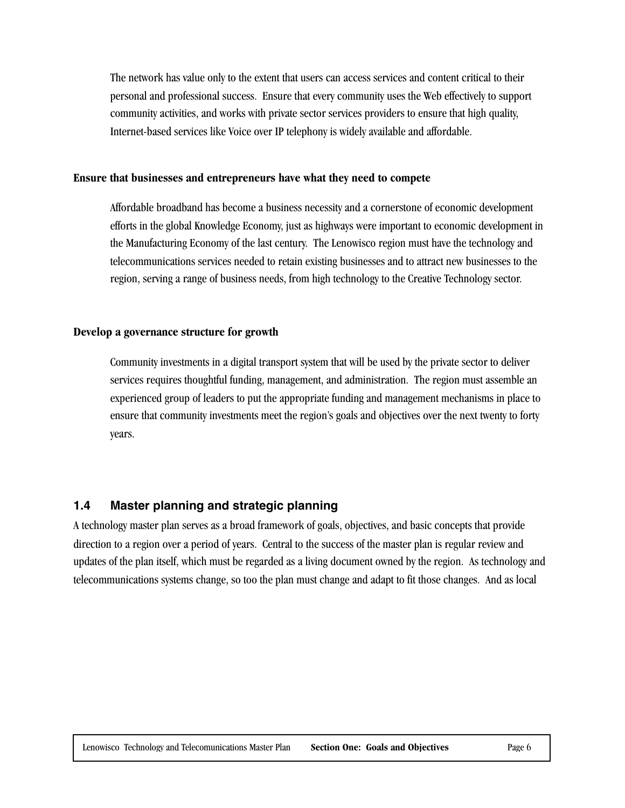The network has value only to the extent that users can access services and content critical to their personal and professional success. Ensure that every community uses the Web effectively to support community activities, and works with private sector services providers to ensure that high quality, Internet-based services like Voice over IP telephony is widely available and affordable.

#### **Ensure that businesses and entrepreneurs have what they need to compete**

Affordable broadband has become a business necessity and a cornerstone of economic development efforts in the global Knowledge Economy, just as highways were important to economic development in the Manufacturing Economy of the last century. The Lenowisco region must have the technology and telecommunications services needed to retain existing businesses and to attract new businesses to the region, serving a range of business needs, from high technology to the Creative Technology sector.

#### **Develop a governance structure for growth**

Community investments in a digital transport system that will be used by the private sector to deliver services requires thoughtful funding, management, and administration. The region must assemble an experienced group of leaders to put the appropriate funding and management mechanisms in place to ensure that community investments meet the region's goals and objectives over the next twenty to forty years.

#### **1.4 Master planning and strategic planning**

A technology master plan serves as a broad framework of goals, objectives, and basic concepts that provide direction to a region over a period of years. Central to the success of the master plan is regular review and updates of the plan itself, which must be regarded as a living document owned by the region. As technology and telecommunications systems change, so too the plan must change and adapt to fit those changes. And as local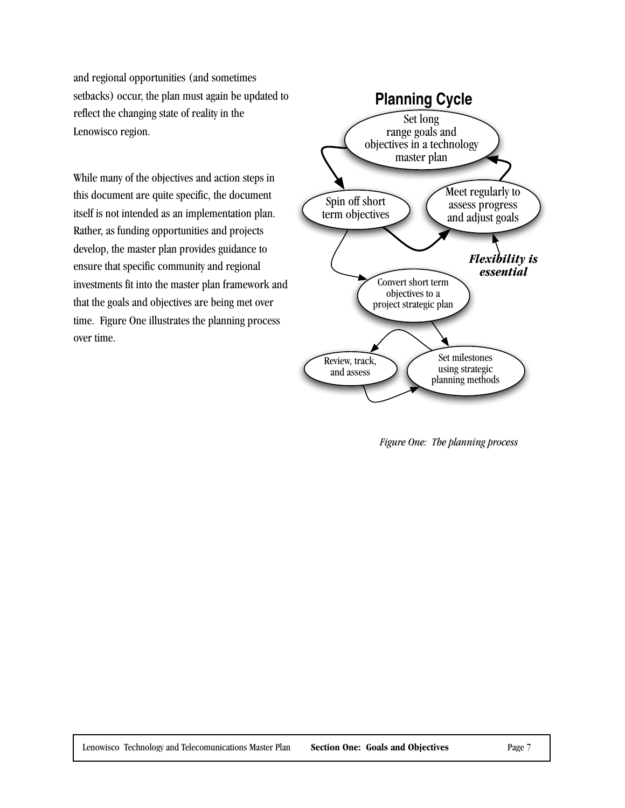and regional opportunities (and sometimes setbacks) occur, the plan must again be updated to reflect the changing state of reality in the Lenowisco region.

While many of the objectives and action steps in this document are quite specific, the document itself is not intended as an implementation plan. Rather, as funding opportunities and projects develop, the master plan provides guidance to ensure that specific community and regional investments fit into the master plan framework and that the goals and objectives are being met over time. Figure One illustrates the planning process over time.



*Figure One: The planning process*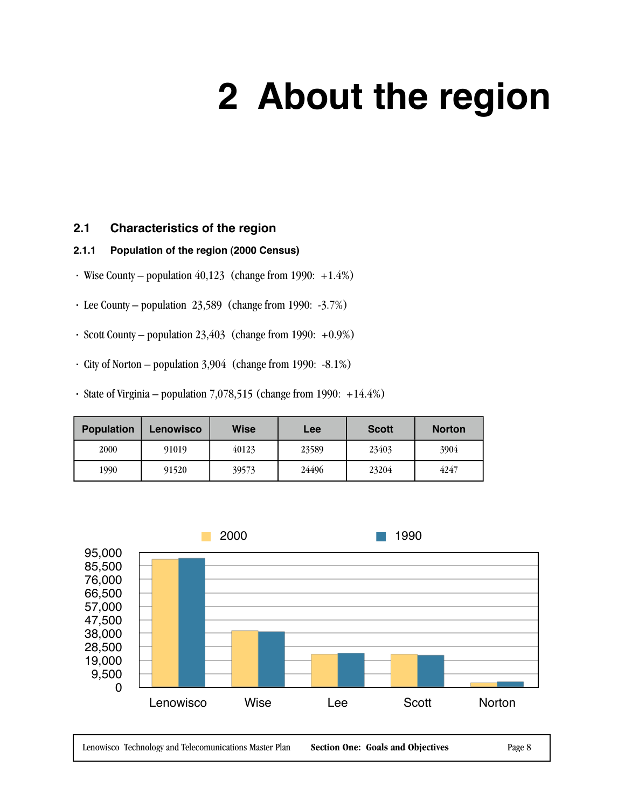## **2 About the region**

#### **2.1 Characteristics of the region**

#### **2.1.1 Population of the region (2000 Census)**

- Wise County population  $40,123$  (change from 1990: +1.4%)
- · Lee County population 23,589 (change from 1990: -3.7%)
- · Scott County population 23,403 (change from 1990: +0.9%)
- · City of Norton population 3,904 (change from 1990: -8.1%)
- · State of Virginia population 7,078,515 (change from 1990: +14.4%)

| <b>Population</b> | <b>Lenowisco</b> | <b>Wise</b> | Lee   | <b>Scott</b> | <b>Norton</b> |
|-------------------|------------------|-------------|-------|--------------|---------------|
| 2000              | 91019            | 40123       | 23589 | 23403        | 3904          |
| 1990              | 91520            | 39573       | 24496 | 23204        | 4247          |



Lenowisco Technology and Telecomunications Master Plan **Section One: Goals and Objectives** Page 8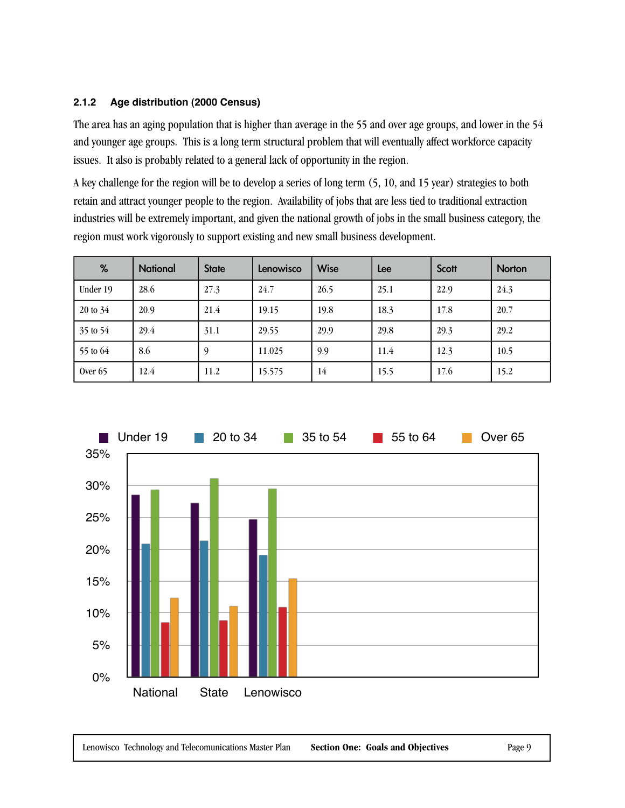#### **2.1.2 Age distribution (2000 Census)**

The area has an aging population that is higher than average in the 55 and over age groups, and lower in the 54 and younger age groups. This is a long term structural problem that will eventually affect workforce capacity issues. It also is probably related to a general lack of opportunity in the region.

A key challenge for the region will be to develop a series of long term (5, 10, and 15 year) strategies to both retain and attract younger people to the region. Availability of jobs that are less tied to traditional extraction industries will be extremely important, and given the national growth of jobs in the small business category, the region must work vigorously to support existing and new small business development.

| %                   | <b>National</b> | <b>State</b> | Lenowisco | <b>Wise</b> | Lee  | Scott | <b>Norton</b> |
|---------------------|-----------------|--------------|-----------|-------------|------|-------|---------------|
| Under 19            | 28.6            | 27.3         | 24.7      | 26.5        | 25.1 | 22.9  | 24.3          |
| $20 \text{ to } 34$ | 20.9            | 21.4         | 19.15     | 19.8        | 18.3 | 17.8  | 20.7          |
| 35 to 54            | 29.4            | 31.1         | 29.55     | 29.9        | 29.8 | 29.3  | 29.2          |
| 55 to 64            | 8.6             | -9           | 11.025    | 9.9         | 11.4 | 12.3  | 10.5          |
| Over $65$           | 12.4            | 11.2         | 15.575    | 14          | 15.5 | 17.6  | 15.2          |

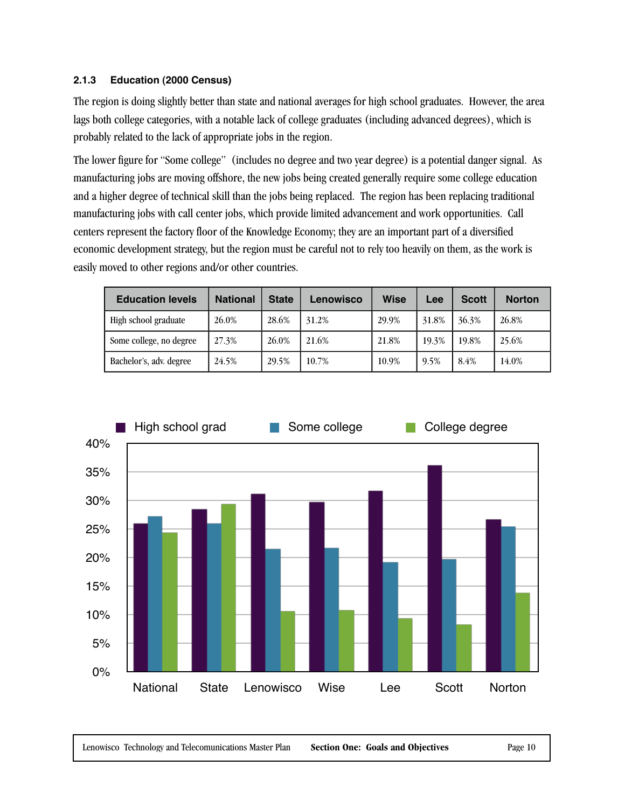#### **2.1.3 Education (2000 Census)**

The region is doing slightly better than state and national averages for high school graduates. However, the area lags both college categories, with a notable lack of college graduates (including advanced degrees), which is probably related to the lack of appropriate jobs in the region.

The lower figure for "Some college" (includes no degree and two year degree) is a potential danger signal. As manufacturing jobs are moving offshore, the new jobs being created generally require some college education and a higher degree of technical skill than the jobs being replaced. The region has been replacing traditional manufacturing jobs with call center jobs, which provide limited advancement and work opportunities. Call centers represent the factory floor of the Knowledge Economy; they are an important part of a diversified economic development strategy, but the region must be careful not to rely too heavily on them, as the work is easily moved to other regions and/or other countries.

| <b>Education levels</b> | <b>National</b> | <b>State</b> | Lenowisco | Wise  | Lee   | <b>Scott</b> | <b>Norton</b> |
|-------------------------|-----------------|--------------|-----------|-------|-------|--------------|---------------|
| High school graduate    | 26.0%           | 28.6%        | 31.2%     | 29.9% | 31.8% | 36.3%        | 26.8%         |
| Some college, no degree | 27.3%           | 26.0%        | 21.6%     | 21.8% | 19.3% | 19.8%        | 25.6%         |
| Bachelor's, adv. degree | 24.5%           | 29.5%        | 10.7%     | 10.9% | 9.5%  | 8.4%         | 14.0%         |

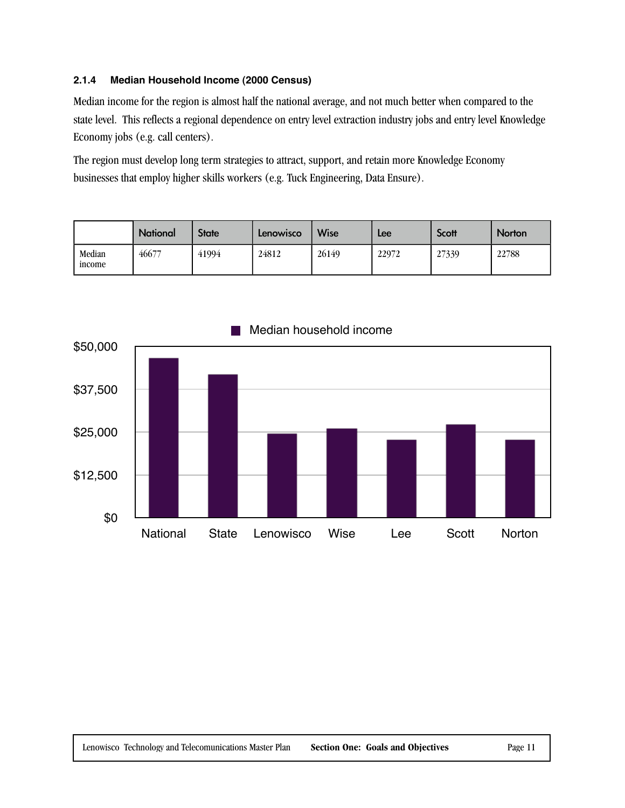#### **2.1.4 Median Household Income (2000 Census)**

Median income for the region is almost half the national average, and not much better when compared to the state level. This reflects a regional dependence on entry level extraction industry jobs and entry level Knowledge Economy jobs (e.g. call centers).

The region must develop long term strategies to attract, support, and retain more Knowledge Economy businesses that employ higher skills workers (e.g. Tuck Engineering, Data Ensure).

|                  | <b>National</b> | <b>State</b> | Lenowisco | <b>Wise</b> | Lee   | Scott | <b>Norton</b> |
|------------------|-----------------|--------------|-----------|-------------|-------|-------|---------------|
| Median<br>income | 46677           | 41994        | 24812     | 26149       | 22972 | 27339 | 22788         |

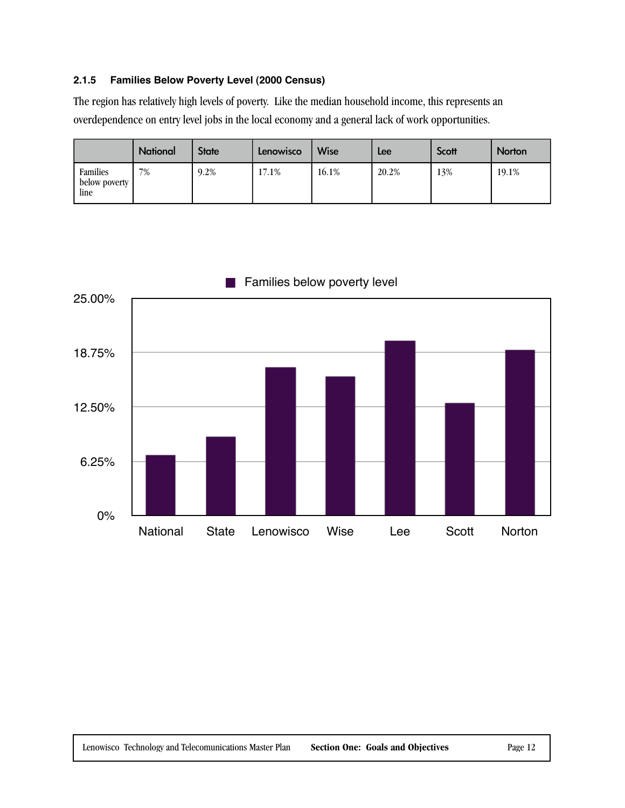#### **2.1.5 Families Below Poverty Level (2000 Census)**

The region has relatively high levels of poverty. Like the median household income, this represents an overdependence on entry level jobs in the local economy and a general lack of work opportunities.

|                                   | <b>National</b> | <b>State</b> | Lenowisco | <b>Wise</b> | Lee   | Scott | Norton |
|-----------------------------------|-----------------|--------------|-----------|-------------|-------|-------|--------|
| Families<br>below poverty<br>line | 7%              | 9.2%         | 17.1%     | 16.1%       | 20.2% | 13%   | 19.1%  |

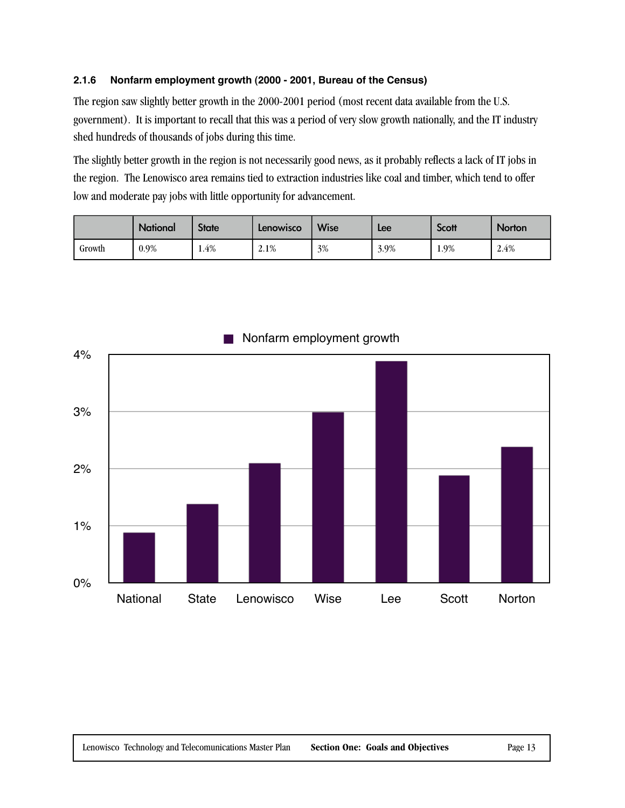#### **2.1.6 Nonfarm employment growth (2000 - 2001, Bureau of the Census)**

The region saw slightly better growth in the 2000-2001 period (most recent data available from the U.S. government). It is important to recall that this was a period of very slow growth nationally, and the IT industry shed hundreds of thousands of jobs during this time.

The slightly better growth in the region is not necessarily good news, as it probably reflects a lack of IT jobs in the region. The Lenowisco area remains tied to extraction industries like coal and timber, which tend to offer low and moderate pay jobs with little opportunity for advancement.

|        | <b>National</b> | <b>State</b> | Lenowisco | <b>Wise</b> | Lee  | Scott | <b>Norton</b> |
|--------|-----------------|--------------|-----------|-------------|------|-------|---------------|
| Growth | 0.9%            | 1.4%         | 2.1%      | 3%          | 3.9% | 1.9%  | 2.4%          |



#### Nonfarm employment growth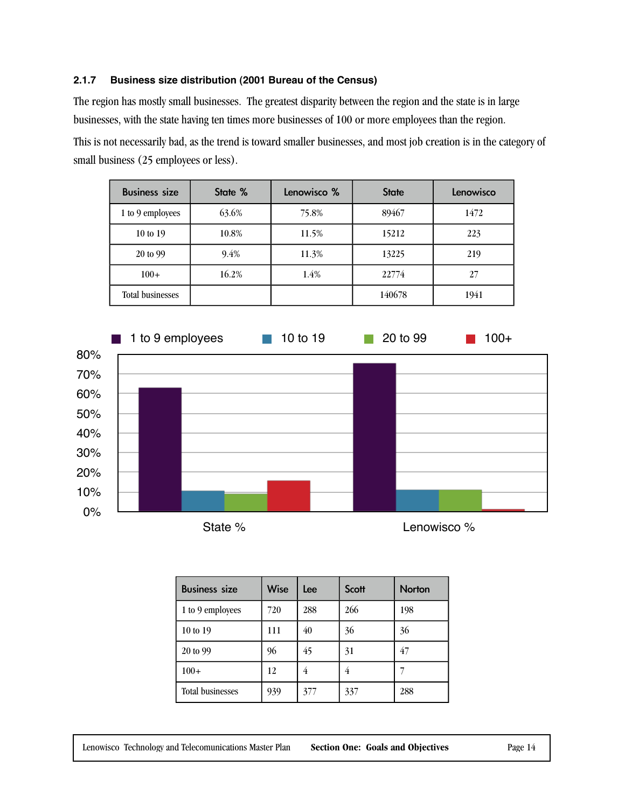#### **2.1.7 Business size distribution (2001 Bureau of the Census)**

The region has mostly small businesses. The greatest disparity between the region and the state is in large businesses, with the state having ten times more businesses of 100 or more employees than the region.

This is not necessarily bad, as the trend is toward smaller businesses, and most job creation is in the category of small business (25 employees or less).

| <b>Business size</b>    | State % | Lenowisco % | <b>State</b> | Lenowisco |
|-------------------------|---------|-------------|--------------|-----------|
| 1 to 9 employees        | 63.6%   | 75.8%       | 89467        | 1472      |
| 10 to 19                | 10.8%   |             | 15212        | 223       |
| 20 to 99                | 9.4%    | 11.3%       | 13225        | 219       |
| $100+$                  | 16.2%   | 1.4%        | 22774        | 27        |
| <b>Total businesses</b> |         |             | 140678       | 1941      |



| <b>Business size</b>    | <b>Wise</b> | Lee | Scott | <b>Norton</b> |
|-------------------------|-------------|-----|-------|---------------|
| 1 to 9 employees        | 720         | 288 | 266   | 198           |
| 10 to 19                | 111         | 40  | 36    | 36            |
| 20 to 99                | 96          | 45  | 31    | 47            |
| $100+$                  | 12          | 4   | 4     |               |
| <b>Total businesses</b> | 939         | 377 | 337   | 288           |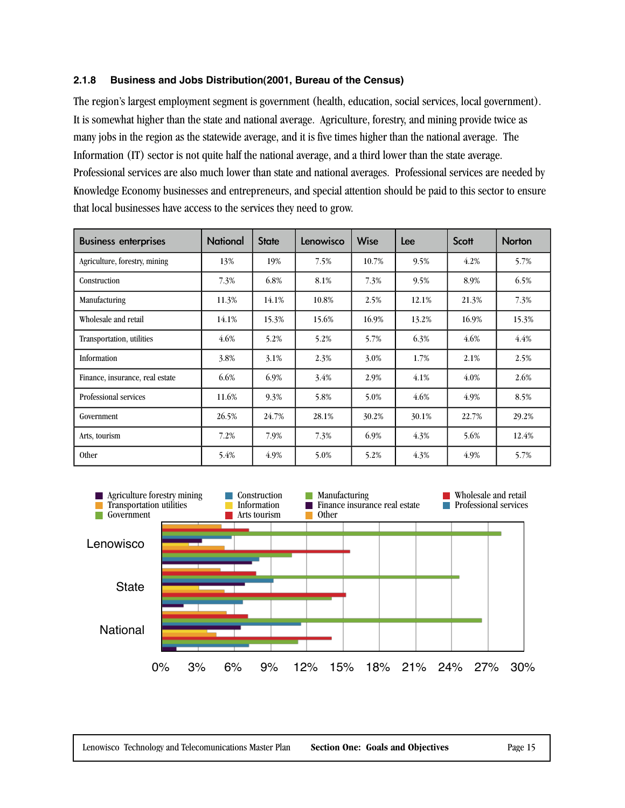#### **2.1.8 Business and Jobs Distribution(2001, Bureau of the Census)**

The region's largest employment segment is government (health, education, social services, local government). It is somewhat higher than the state and national average. Agriculture, forestry, and mining provide twice as many jobs in the region as the statewide average, and it is five times higher than the national average. The Information (IT) sector is not quite half the national average, and a third lower than the state average. Professional services are also much lower than state and national averages. Professional services are needed by Knowledge Economy businesses and entrepreneurs, and special attention should be paid to this sector to ensure that local businesses have access to the services they need to grow.

| <b>Business enterprises</b>     | <b>National</b> | <b>State</b> | Lenowisco | Wise  | Lee   | <b>Scott</b> | <b>Norton</b> |
|---------------------------------|-----------------|--------------|-----------|-------|-------|--------------|---------------|
| Agriculture, forestry, mining   | 13%             | 19%          | 7.5%      | 10.7% | 9.5%  | 4.2%         | 5.7%          |
| Construction                    | 7.3%            | 6.8%         | 8.1%      | 7.3%  | 9.5%  | 8.9%         | 6.5%          |
| Manufacturing                   | 11.3%           | 14.1%        | 10.8%     | 2.5%  | 12.1% | 21.3%        | 7.3%          |
| Wholesale and retail            | 14.1%           | 15.3%        | 15.6%     | 16.9% | 13.2% | 16.9%        | 15.3%         |
| Transportation, utilities       | 4.6%            | 5.2%         | 5.2%      | 5.7%  | 6.3%  | 4.6%         | 4.4%          |
| Information                     | 3.8%            | 3.1%         | 2.3%      | 3.0%  | 1.7%  | 2.1%         | 2.5%          |
| Finance, insurance, real estate | 6.6%            | 6.9%         | 3.4%      | 2.9%  | 4.1%  | $4.0\%$      | 2.6%          |
| Professional services           | 11.6%           | 9.3%         | 5.8%      | 5.0%  | 4.6%  | 4.9%         | 8.5%          |
| Government                      | 26.5%           | 24.7%        | 28.1%     | 30.2% | 30.1% | 22.7%        | 29.2%         |
| Arts, tourism                   | 7.2%            | 7.9%         | 7.3%      | 6.9%  | 4.3%  | 5.6%         | 12.4%         |
| <b>Other</b>                    | 5.4%            | 4.9%         | 5.0%      | 5.2%  | 4.3%  | 4.9%         | 5.7%          |

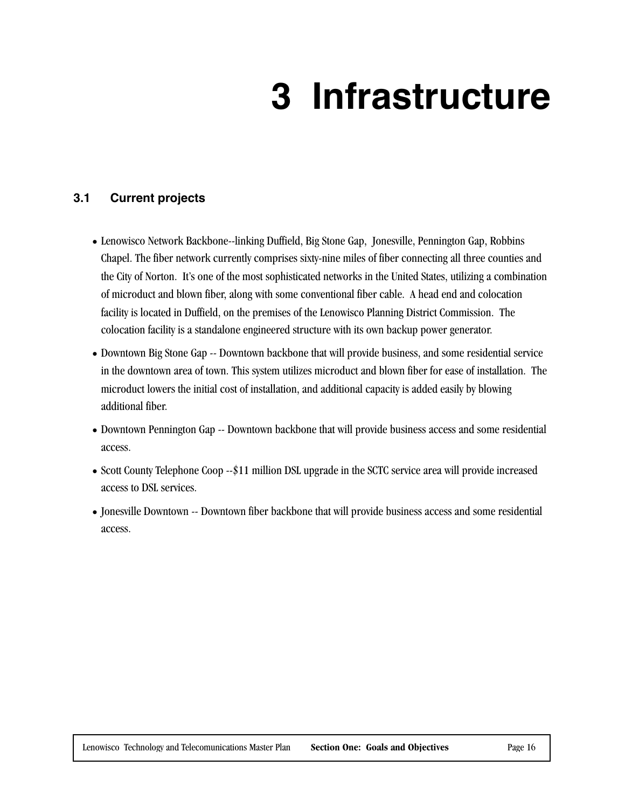## **3 Infrastructure**

#### **3.1 Current projects**

- Lenowisco Network Backbone--linking Duffield, Big Stone Gap, Jonesville, Pennington Gap, Robbins Chapel. The fiber network currently comprises sixty-nine miles of fiber connecting all three counties and the City of Norton. It's one of the most sophisticated networks in the United States, utilizing a combination of microduct and blown fiber, along with some conventional fiber cable. A head end and colocation facility is located in Duffield, on the premises of the Lenowisco Planning District Commission. The colocation facility is a standalone engineered structure with its own backup power generator.
- Downtown Big Stone Gap -- Downtown backbone that will provide business, and some residential service in the downtown area of town. This system utilizes microduct and blown fiber for ease of installation. The microduct lowers the initial cost of installation, and additional capacity is added easily by blowing additional fiber.
- Downtown Pennington Gap -- Downtown backbone that will provide business access and some residential access.
- Scott County Telephone Coop --\$11 million DSL upgrade in the SCTC service area will provide increased access to DSL services.
- Jonesville Downtown -- Downtown fiber backbone that will provide business access and some residential access.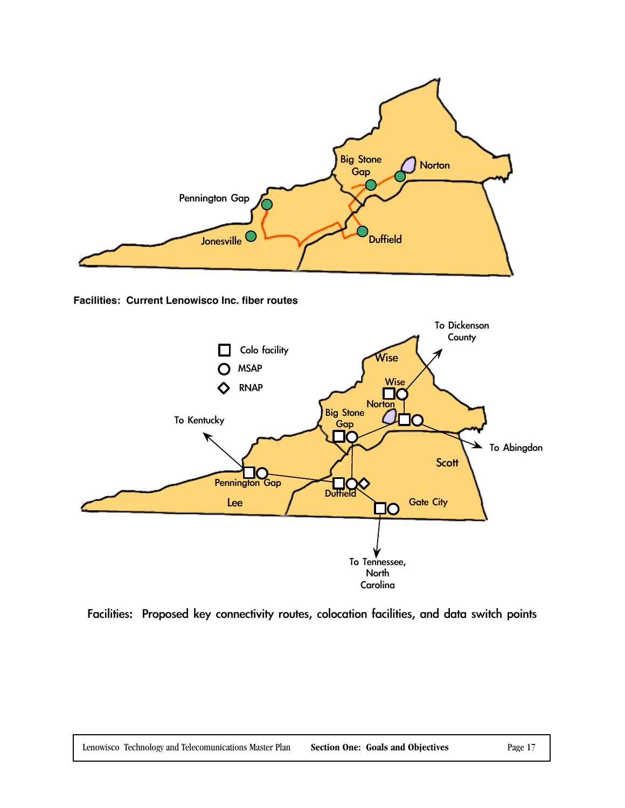

**Facilities: Current Lenowisco Inc. fiber routes**



Facilities: Proposed key connectivity routes, colocation facilities, and data switch points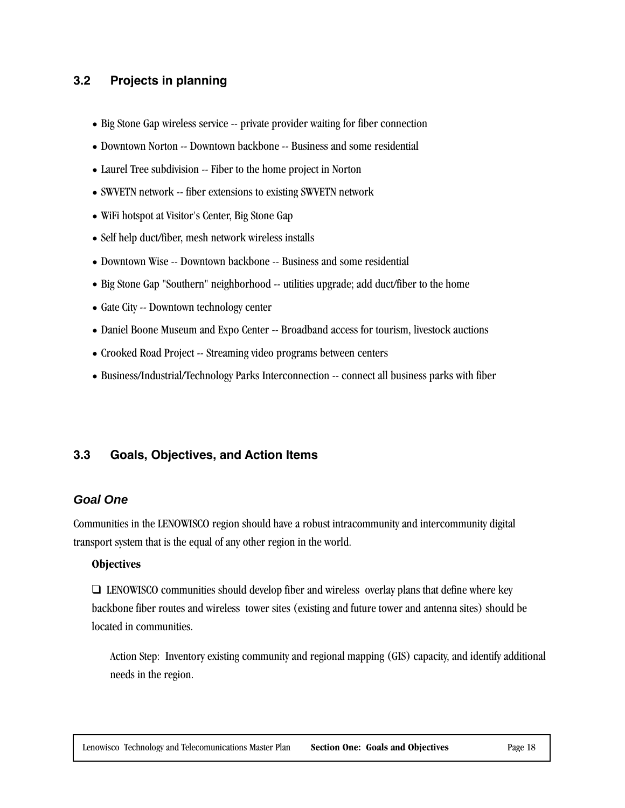#### **3.2 Projects in planning**

- Big Stone Gap wireless service -- private provider waiting for fiber connection
- Downtown Norton -- Downtown backbone -- Business and some residential
- Laurel Tree subdivision -- Fiber to the home project in Norton
- SWVETN network -- fiber extensions to existing SWVETN network
- WiFi hotspot at Visitor's Center, Big Stone Gap
- Self help duct/fiber, mesh network wireless installs
- Downtown Wise -- Downtown backbone -- Business and some residential
- Big Stone Gap "Southern" neighborhood -- utilities upgrade; add duct/fiber to the home
- Gate City -- Downtown technology center
- Daniel Boone Museum and Expo Center -- Broadband access for tourism, livestock auctions
- Crooked Road Project -- Streaming video programs between centers
- Business/Industrial/Technology Parks Interconnection -- connect all business parks with fiber

#### **3.3 Goals, Objectives, and Action Items**

#### **Goal One**

Communities in the LENOWISCO region should have a robust intracommunity and intercommunity digital transport system that is the equal of any other region in the world.

#### **Objectives**

❑ LENOWISCO communities should develop fiber and wireless overlay plans that define where key backbone fiber routes and wireless tower sites (existing and future tower and antenna sites) should be located in communities.

Action Step: Inventory existing community and regional mapping (GIS) capacity, and identify additional needs in the region.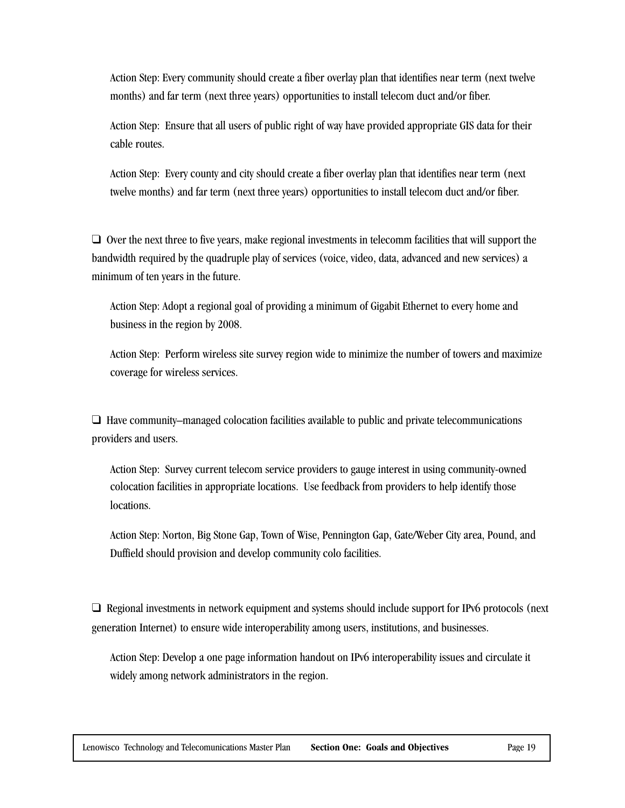Action Step: Every community should create a fiber overlay plan that identifies near term (next twelve months) and far term (next three years) opportunities to install telecom duct and/or fiber.

Action Step: Ensure that all users of public right of way have provided appropriate GIS data for their cable routes.

Action Step: Every county and city should create a fiber overlay plan that identifies near term (next twelve months) and far term (next three years) opportunities to install telecom duct and/or fiber.

❑ Over the next three to five years, make regional investments in telecomm facilities that will support the bandwidth required by the quadruple play of services (voice, video, data, advanced and new services) a minimum of ten years in the future.

Action Step: Adopt a regional goal of providing a minimum of Gigabit Ethernet to every home and business in the region by 2008.

Action Step: Perform wireless site survey region wide to minimize the number of towers and maximize coverage for wireless services.

❑ Have community–managed colocation facilities available to public and private telecommunications providers and users.

Action Step: Survey current telecom service providers to gauge interest in using community-owned colocation facilities in appropriate locations. Use feedback from providers to help identify those locations.

Action Step: Norton, Big Stone Gap, Town of Wise, Pennington Gap, Gate/Weber City area, Pound, and Duffield should provision and develop community colo facilities.

❑ Regional investments in network equipment and systems should include support for IPv6 protocols (next generation Internet) to ensure wide interoperability among users, institutions, and businesses.

Action Step: Develop a one page information handout on IPv6 interoperability issues and circulate it widely among network administrators in the region.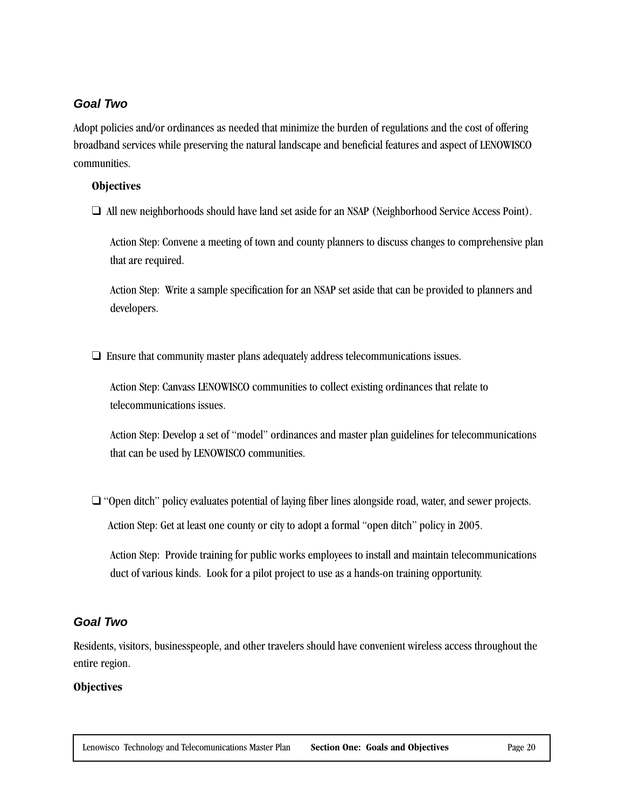#### **Goal Two**

Adopt policies and/or ordinances as needed that minimize the burden of regulations and the cost of offering broadband services while preserving the natural landscape and beneficial features and aspect of LENOWISCO communities.

#### **Objectives**

❑ All new neighborhoods should have land set aside for an NSAP (Neighborhood Service Access Point).

Action Step: Convene a meeting of town and county planners to discuss changes to comprehensive plan that are required.

Action Step: Write a sample specification for an NSAP set aside that can be provided to planners and developers.

❑ Ensure that community master plans adequately address telecommunications issues.

Action Step: Canvass LENOWISCO communities to collect existing ordinances that relate to telecommunications issues.

Action Step: Develop a set of "model" ordinances and master plan guidelines for telecommunications that can be used by LENOWISCO communities.

❑ "Open ditch" policy evaluates potential of laying fiber lines alongside road, water, and sewer projects. Action Step: Get at least one county or city to adopt a formal "open ditch" policy in 2005.

Action Step: Provide training for public works employees to install and maintain telecommunications duct of various kinds. Look for a pilot project to use as a hands-on training opportunity.

#### **Goal Two**

Residents, visitors, businesspeople, and other travelers should have convenient wireless access throughout the entire region.

#### **Objectives**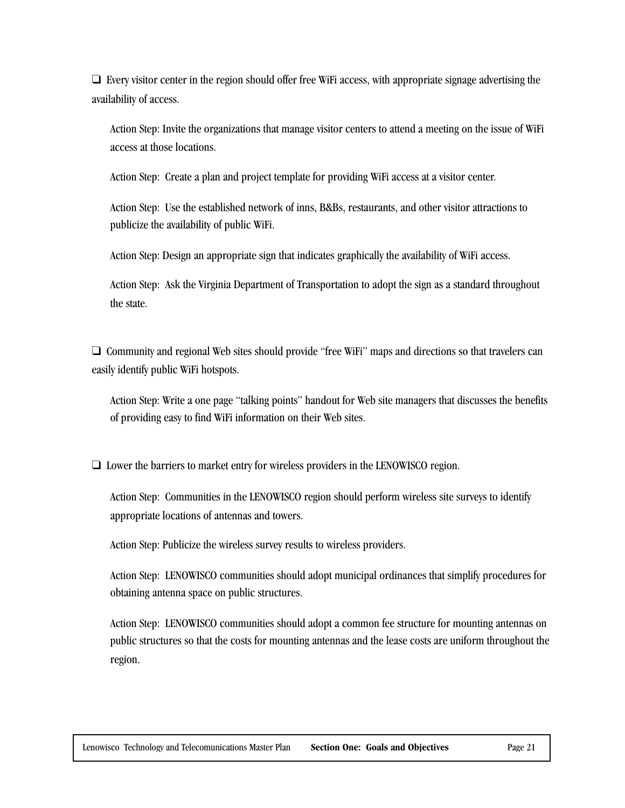$\Box$  Every visitor center in the region should offer free WiFi access, with appropriate signage advertising the availability of access.

Action Step: Invite the organizations that manage visitor centers to attend a meeting on the issue of WiFi access at those locations.

Action Step: Create a plan and project template for providing WiFi access at a visitor center.

Action Step: Use the established network of inns, B&Bs, restaurants, and other visitor attractions to publicize the availability of public WiFi.

Action Step: Design an appropriate sign that indicates graphically the availability of WiFi access.

Action Step: Ask the Virginia Department of Transportation to adopt the sign as a standard throughout the state.

❑ Community and regional Web sites should provide "free WiFi" maps and directions so that travelers can easily identify public WiFi hotspots.

Action Step: Write a one page "talking points" handout for Web site managers that discusses the benefits of providing easy to find WiFi information on their Web sites.

❑ Lower the barriers to market entry for wireless providers in the LENOWISCO region.

Action Step: Communities in the LENOWISCO region should perform wireless site surveys to identify appropriate locations of antennas and towers.

Action Step: Publicize the wireless survey results to wireless providers.

Action Step: LENOWISCO communities should adopt municipal ordinances that simplify procedures for obtaining antenna space on public structures.

Action Step: LENOWISCO communities should adopt a common fee structure for mounting antennas on public structures so that the costs for mounting antennas and the lease costs are uniform throughout the region.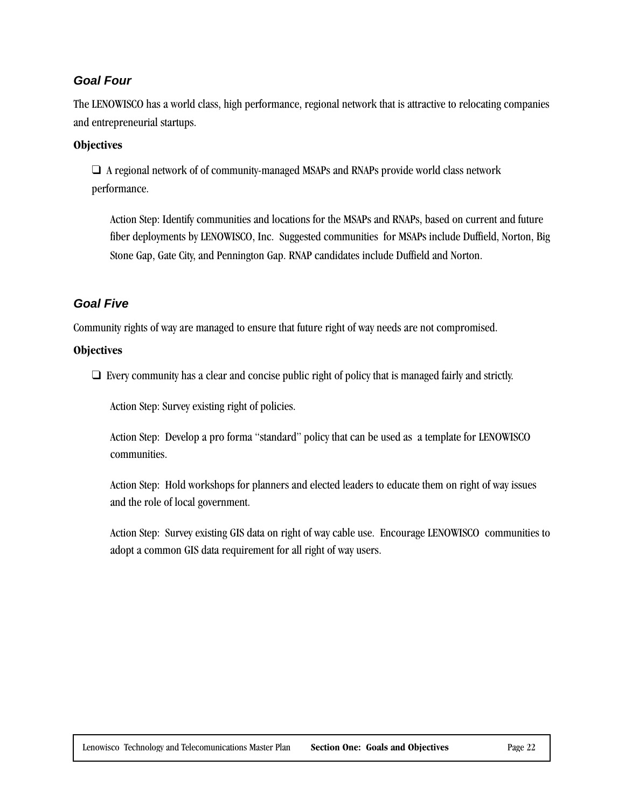#### **Goal Four**

The LENOWISCO has a world class, high performance, regional network that is attractive to relocating companies and entrepreneurial startups.

#### **Objectives**

❑ A regional network of of community-managed MSAPs and RNAPs provide world class network performance.

Action Step: Identify communities and locations for the MSAPs and RNAPs, based on current and future fiber deployments by LENOWISCO, Inc. Suggested communities for MSAPs include Duffield, Norton, Big Stone Gap, Gate City, and Pennington Gap. RNAP candidates include Duffield and Norton.

#### **Goal Five**

Community rights of way are managed to ensure that future right of way needs are not compromised.

#### **Objectives**

❑ Every community has a clear and concise public right of policy that is managed fairly and strictly.

Action Step: Survey existing right of policies.

Action Step: Develop a pro forma "standard" policy that can be used as a template for LENOWISCO communities.

Action Step: Hold workshops for planners and elected leaders to educate them on right of way issues and the role of local government.

Action Step: Survey existing GIS data on right of way cable use. Encourage LENOWISCO communities to adopt a common GIS data requirement for all right of way users.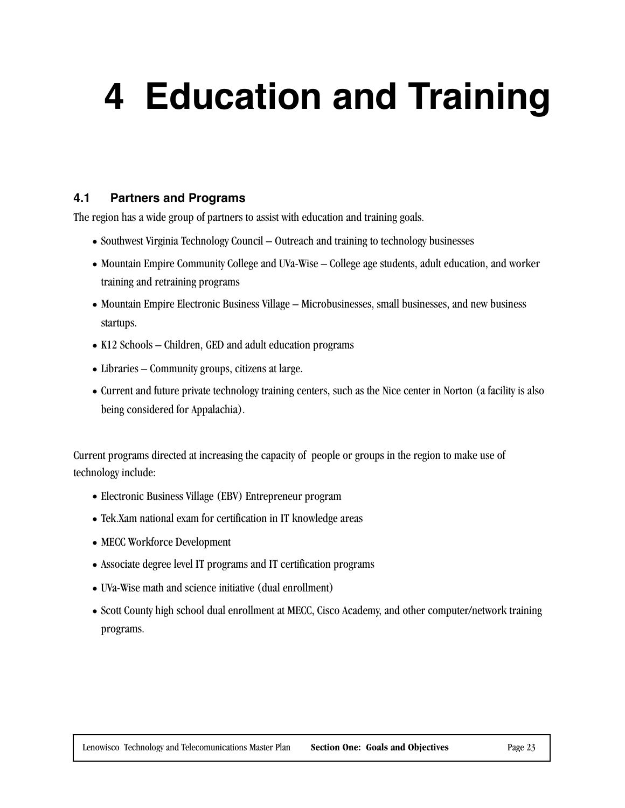## **4 Education and Training**

#### **4.1 Partners and Programs**

The region has a wide group of partners to assist with education and training goals.

- Southwest Virginia Technology Council Outreach and training to technology businesses
- Mountain Empire Community College and UVa-Wise College age students, adult education, and worker training and retraining programs
- Mountain Empire Electronic Business Village Microbusinesses, small businesses, and new business startups.
- K12 Schools Children, GED and adult education programs
- Libraries Community groups, citizens at large.
- Current and future private technology training centers, such as the Nice center in Norton (a facility is also being considered for Appalachia).

Current programs directed at increasing the capacity of people or groups in the region to make use of technology include:

- Electronic Business Village (EBV) Entrepreneur program
- Tek.Xam national exam for certification in IT knowledge areas
- MECC Workforce Development
- Associate degree level IT programs and IT certification programs
- UVa-Wise math and science initiative (dual enrollment)
- Scott County high school dual enrollment at MECC, Cisco Academy, and other computer/network training programs.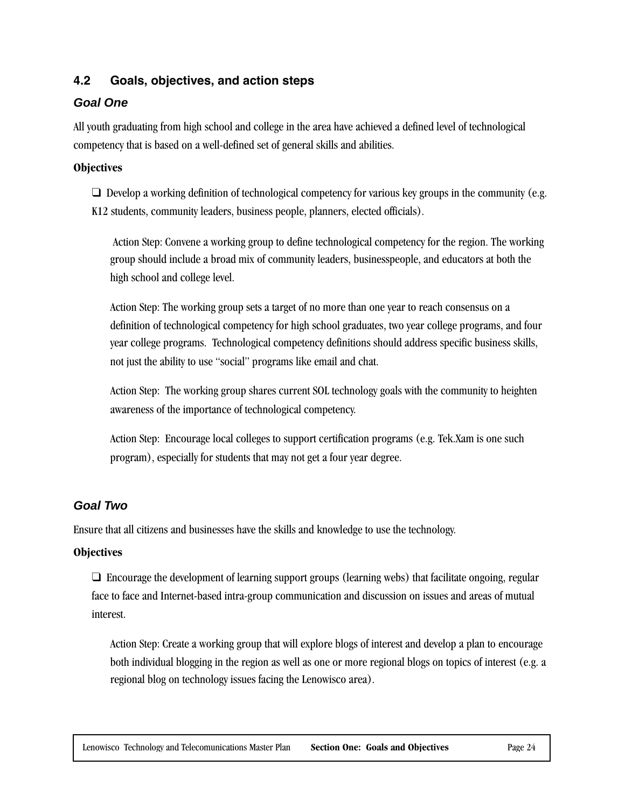#### **4.2 Goals, objectives, and action steps**

#### **Goal One**

All youth graduating from high school and college in the area have achieved a defined level of technological competency that is based on a well-defined set of general skills and abilities.

#### **Objectives**

 $\Box$  Develop a working definition of technological competency for various key groups in the community (e.g. K12 students, community leaders, business people, planners, elected officials).

 Action Step: Convene a working group to define technological competency for the region. The working group should include a broad mix of community leaders, businesspeople, and educators at both the high school and college level.

Action Step: The working group sets a target of no more than one year to reach consensus on a definition of technological competency for high school graduates, two year college programs, and four year college programs. Technological competency definitions should address specific business skills, not just the ability to use "social" programs like email and chat.

Action Step: The working group shares current SOL technology goals with the community to heighten awareness of the importance of technological competency.

Action Step: Encourage local colleges to support certification programs (e.g. Tek.Xam is one such program), especially for students that may not get a four year degree.

### **Goal Two**

Ensure that all citizens and businesses have the skills and knowledge to use the technology.

#### **Objectives**

❑ Encourage the development of learning support groups (learning webs) that facilitate ongoing, regular face to face and Internet-based intra-group communication and discussion on issues and areas of mutual interest.

Action Step: Create a working group that will explore blogs of interest and develop a plan to encourage both individual blogging in the region as well as one or more regional blogs on topics of interest (e.g. a regional blog on technology issues facing the Lenowisco area).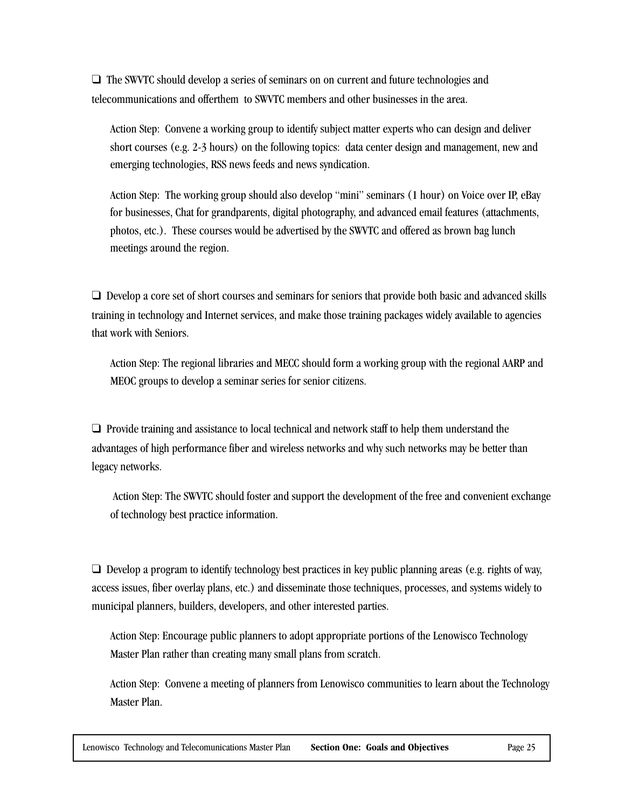❑ The SWVTC should develop a series of seminars on on current and future technologies and telecommunications and offerthem to SWVTC members and other businesses in the area.

Action Step: Convene a working group to identify subject matter experts who can design and deliver short courses (e.g. 2-3 hours) on the following topics: data center design and management, new and emerging technologies, RSS news feeds and news syndication.

Action Step: The working group should also develop "mini" seminars (1 hour) on Voice over IP, eBay for businesses, Chat for grandparents, digital photography, and advanced email features (attachments, photos, etc.). These courses would be advertised by the SWVTC and offered as brown bag lunch meetings around the region.

❑ Develop a core set of short courses and seminars for seniors that provide both basic and advanced skills training in technology and Internet services, and make those training packages widely available to agencies that work with Seniors.

Action Step: The regional libraries and MECC should form a working group with the regional AARP and MEOC groups to develop a seminar series for senior citizens.

❑ Provide training and assistance to local technical and network staff to help them understand the advantages of high performance fiber and wireless networks and why such networks may be better than legacy networks.

 Action Step: The SWVTC should foster and support the development of the free and convenient exchange of technology best practice information.

 $\Box$  Develop a program to identify technology best practices in key public planning areas (e.g. rights of way, access issues, fiber overlay plans, etc.) and disseminate those techniques, processes, and systems widely to municipal planners, builders, developers, and other interested parties.

Action Step: Encourage public planners to adopt appropriate portions of the Lenowisco Technology Master Plan rather than creating many small plans from scratch.

Action Step: Convene a meeting of planners from Lenowisco communities to learn about the Technology Master Plan.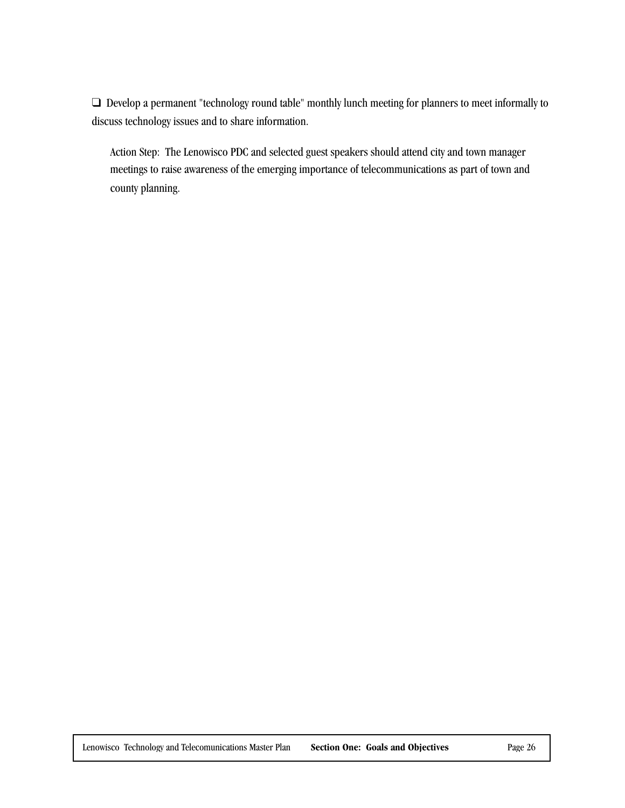❑ Develop a permanent "technology round table" monthly lunch meeting for planners to meet informally to discuss technology issues and to share information.

Action Step: The Lenowisco PDC and selected guest speakers should attend city and town manager meetings to raise awareness of the emerging importance of telecommunications as part of town and county planning.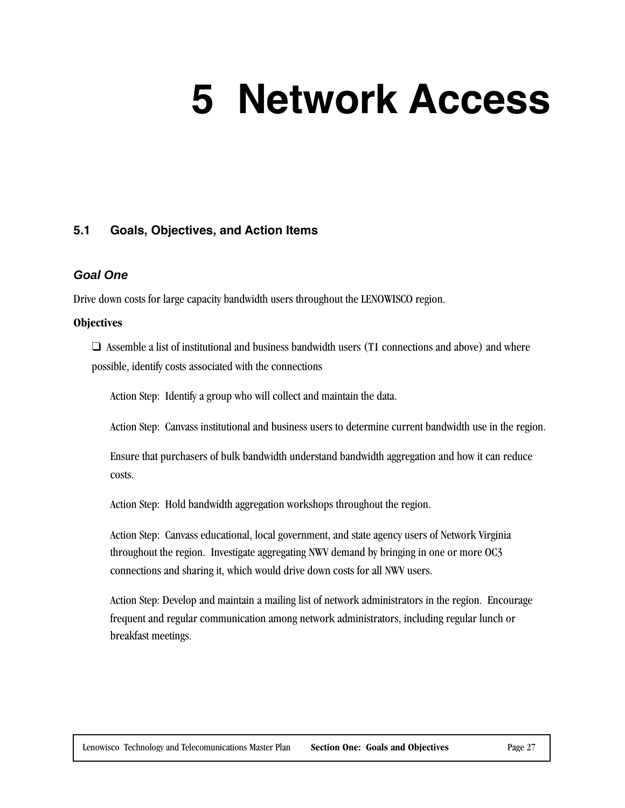# **5 Network Access**

#### **5.1 Goals, Objectives, and Action Items**

#### **Goal One**

Drive down costs for large capacity bandwidth users throughout the LENOWISCO region.

#### **Objectives**

 $\Box$  Assemble a list of institutional and business bandwidth users (T1 connections and above) and where possible, identify costs associated with the connections

Action Step: Identify a group who will collect and maintain the data.

Action Step: Canvass institutional and business users to determine current bandwidth use in the region.

Ensure that purchasers of bulk bandwidth understand bandwidth aggregation and how it can reduce costs.

Action Step: Hold bandwidth aggregation workshops throughout the region.

Action Step: Canvass educational, local government, and state agency users of Network Virginia throughout the region. Investigate aggregating NWV demand by bringing in one or more OC3 connections and sharing it, which would drive down costs for all NWV users.

Action Step: Develop and maintain a mailing list of network administrators in the region. Encourage frequent and regular communication among network administrators, including regular lunch or breakfast meetings.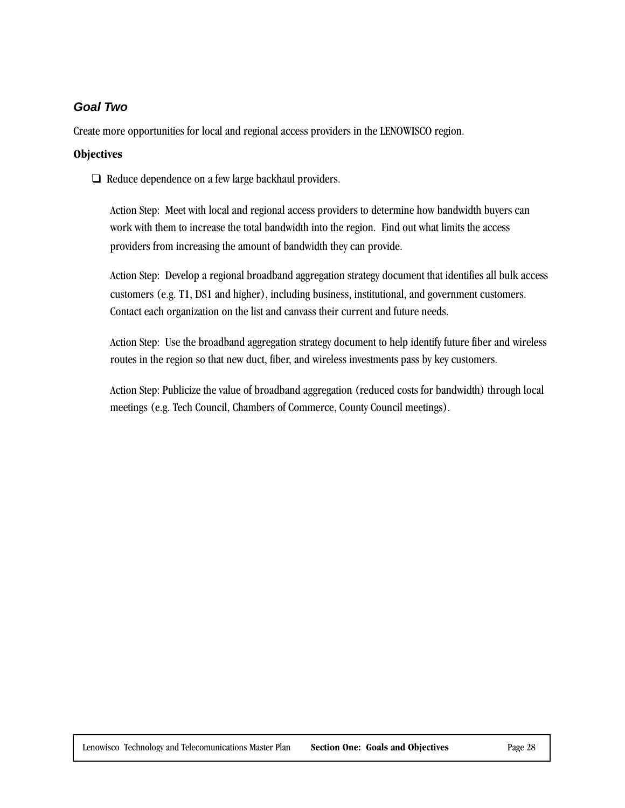#### **Goal Two**

Create more opportunities for local and regional access providers in the LENOWISCO region.

#### **Objectives**

❑ Reduce dependence on a few large backhaul providers.

Action Step: Meet with local and regional access providers to determine how bandwidth buyers can work with them to increase the total bandwidth into the region. Find out what limits the access providers from increasing the amount of bandwidth they can provide.

Action Step: Develop a regional broadband aggregation strategy document that identifies all bulk access customers (e.g. T1, DS1 and higher), including business, institutional, and government customers. Contact each organization on the list and canvass their current and future needs.

Action Step: Use the broadband aggregation strategy document to help identify future fiber and wireless routes in the region so that new duct, fiber, and wireless investments pass by key customers.

Action Step: Publicize the value of broadband aggregation (reduced costs for bandwidth) through local meetings (e.g. Tech Council, Chambers of Commerce, County Council meetings).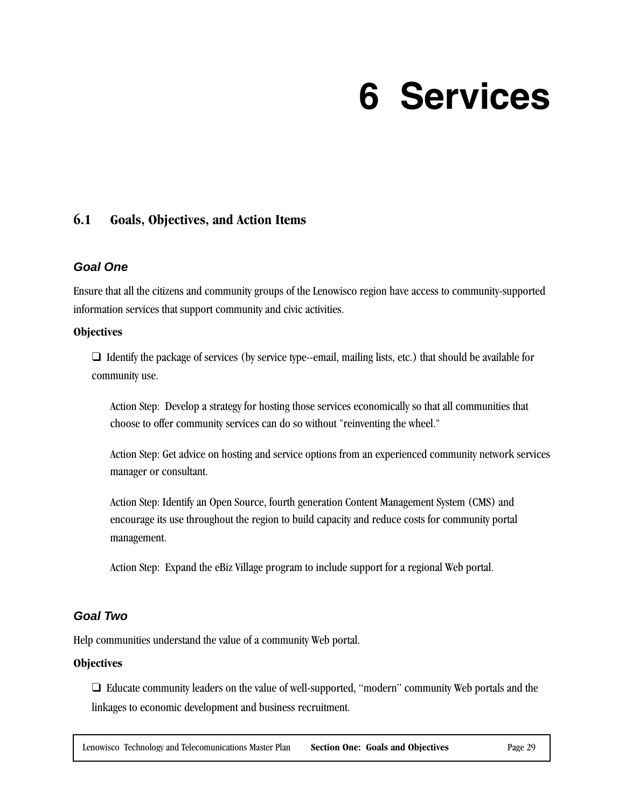### **6 Services**

#### **6.1 Goals, Objectives, and Action Items**

#### **Goal One**

Ensure that all the citizens and community groups of the Lenowisco region have access to community-supported information services that support community and civic activities.

#### **Objectives**

 $\Box$  Identify the package of services (by service type--email, mailing lists, etc.) that should be available for community use.

Action Step: Develop a strategy for hosting those services economically so that all communities that choose to offer community services can do so without "reinventing the wheel."

Action Step: Get advice on hosting and service options from an experienced community network services manager or consultant.

Action Step: Identify an Open Source, fourth generation Content Management System (CMS) and encourage its use throughout the region to build capacity and reduce costs for community portal management.

Action Step: Expand the eBiz Village program to include support for a regional Web portal.

#### **Goal Two**

Help communities understand the value of a community Web portal.

#### **Objectives**

❑ Educate community leaders on the value of well-supported, "modern" community Web portals and the linkages to economic development and business recruitment.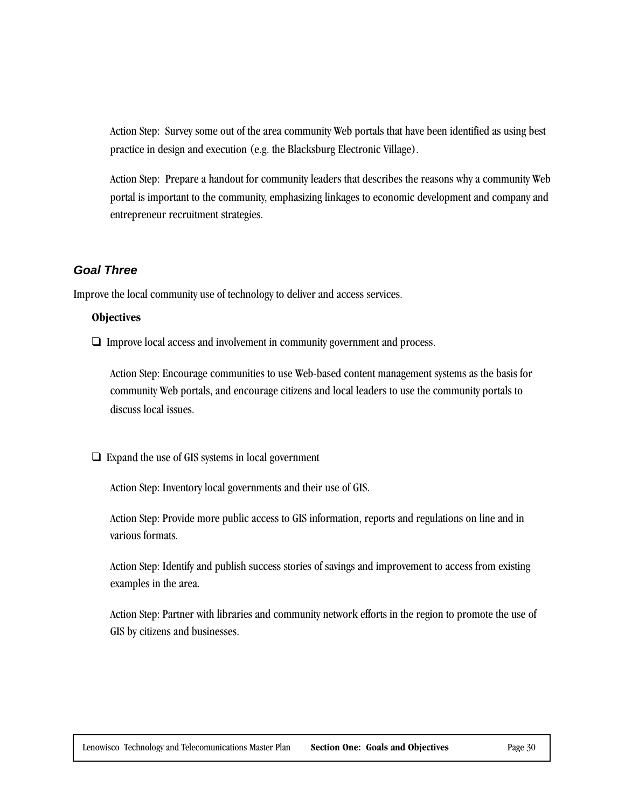Action Step: Survey some out of the area community Web portals that have been identified as using best practice in design and execution (e.g. the Blacksburg Electronic Village).

Action Step: Prepare a handout for community leaders that describes the reasons why a community Web portal is important to the community, emphasizing linkages to economic development and company and entrepreneur recruitment strategies.

#### **Goal Three**

Improve the local community use of technology to deliver and access services.

#### **Objectives**

❑ Improve local access and involvement in community government and process.

Action Step: Encourage communities to use Web-based content management systems as the basis for community Web portals, and encourage citizens and local leaders to use the community portals to discuss local issues.

❑ Expand the use of GIS systems in local government

Action Step: Inventory local governments and their use of GIS.

Action Step: Provide more public access to GIS information, reports and regulations on line and in various formats.

Action Step: Identify and publish success stories of savings and improvement to access from existing examples in the area.

Action Step: Partner with libraries and community network efforts in the region to promote the use of GIS by citizens and businesses.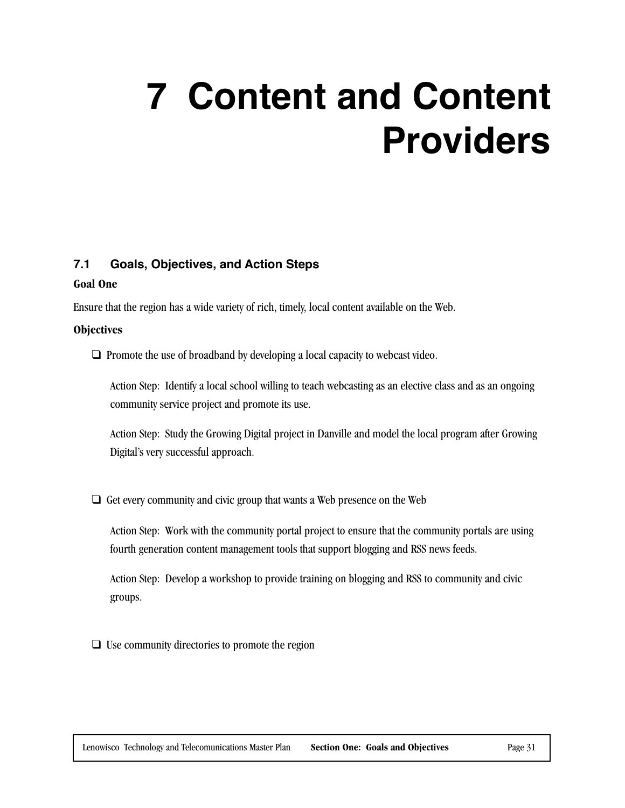## **7 Content and Content Providers**

#### **7.1 Goals, Objectives, and Action Steps**

#### **Goal One**

Ensure that the region has a wide variety of rich, timely, local content available on the Web.

#### **Objectives**

□ Promote the use of broadband by developing a local capacity to webcast video.

Action Step: Identify a local school willing to teach webcasting as an elective class and as an ongoing community service project and promote its use.

Action Step: Study the Growing Digital project in Danville and model the local program after Growing Digital's very successful approach.

❑ Get every community and civic group that wants a Web presence on the Web

Action Step: Work with the community portal project to ensure that the community portals are using fourth generation content management tools that support blogging and RSS news feeds.

Action Step: Develop a workshop to provide training on blogging and RSS to community and civic groups.

 $\Box$  Use community directories to promote the region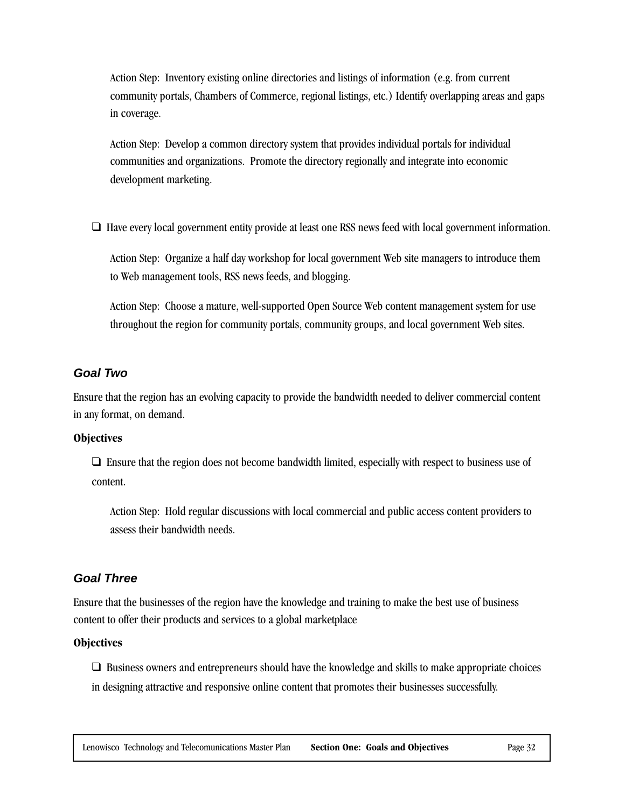Action Step: Inventory existing online directories and listings of information (e.g. from current community portals, Chambers of Commerce, regional listings, etc.) Identify overlapping areas and gaps in coverage.

Action Step: Develop a common directory system that provides individual portals for individual communities and organizations. Promote the directory regionally and integrate into economic development marketing.

❑ Have every local government entity provide at least one RSS news feed with local government information.

Action Step: Organize a half day workshop for local government Web site managers to introduce them to Web management tools, RSS news feeds, and blogging.

Action Step: Choose a mature, well-supported Open Source Web content management system for use throughout the region for community portals, community groups, and local government Web sites.

#### **Goal Two**

Ensure that the region has an evolving capacity to provide the bandwidth needed to deliver commercial content in any format, on demand.

#### **Objectives**

❑ Ensure that the region does not become bandwidth limited, especially with respect to business use of content.

Action Step: Hold regular discussions with local commercial and public access content providers to assess their bandwidth needs.

### **Goal Three**

Ensure that the businesses of the region have the knowledge and training to make the best use of business content to offer their products and services to a global marketplace

#### **Objectives**

❑ Business owners and entrepreneurs should have the knowledge and skills to make appropriate choices in designing attractive and responsive online content that promotes their businesses successfully.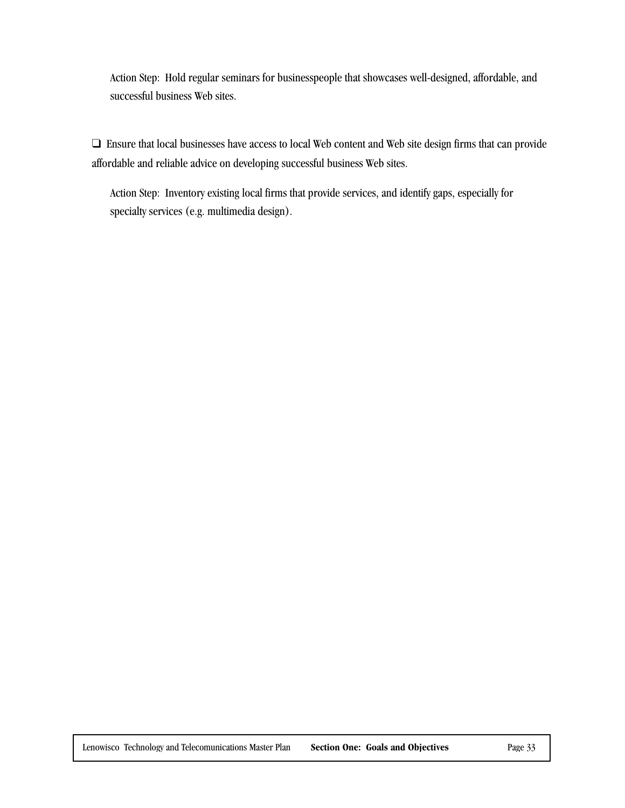Action Step: Hold regular seminars for businesspeople that showcases well-designed, affordable, and successful business Web sites.

❑ Ensure that local businesses have access to local Web content and Web site design firms that can provide affordable and reliable advice on developing successful business Web sites.

Action Step: Inventory existing local firms that provide services, and identify gaps, especially for specialty services (e.g. multimedia design).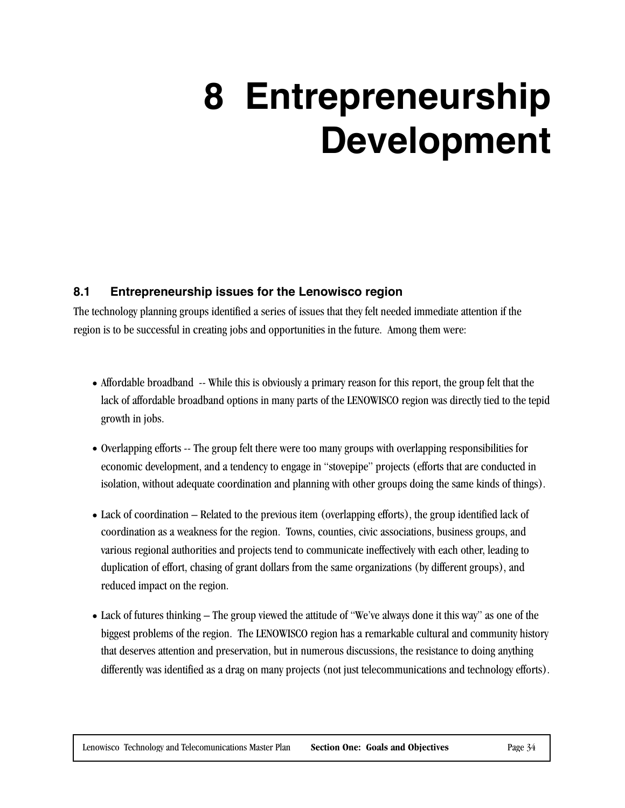## **8 Entrepreneurship Development**

#### **8.1 Entrepreneurship issues for the Lenowisco region**

The technology planning groups identified a series of issues that they felt needed immediate attention if the region is to be successful in creating jobs and opportunities in the future. Among them were:

- Affordable broadband -- While this is obviously a primary reason for this report, the group felt that the lack of affordable broadband options in many parts of the LENOWISCO region was directly tied to the tepid growth in jobs.
- Overlapping efforts -- The group felt there were too many groups with overlapping responsibilities for economic development, and a tendency to engage in "stovepipe" projects (efforts that are conducted in isolation, without adequate coordination and planning with other groups doing the same kinds of things).
- Lack of coordination Related to the previous item (overlapping efforts), the group identified lack of coordination as a weakness for the region. Towns, counties, civic associations, business groups, and various regional authorities and projects tend to communicate ineffectively with each other, leading to duplication of effort, chasing of grant dollars from the same organizations (by different groups), and reduced impact on the region.
- Lack of futures thinking The group viewed the attitude of "We've always done it this way" as one of the biggest problems of the region. The LENOWISCO region has a remarkable cultural and community history that deserves attention and preservation, but in numerous discussions, the resistance to doing anything differently was identified as a drag on many projects (not just telecommunications and technology efforts).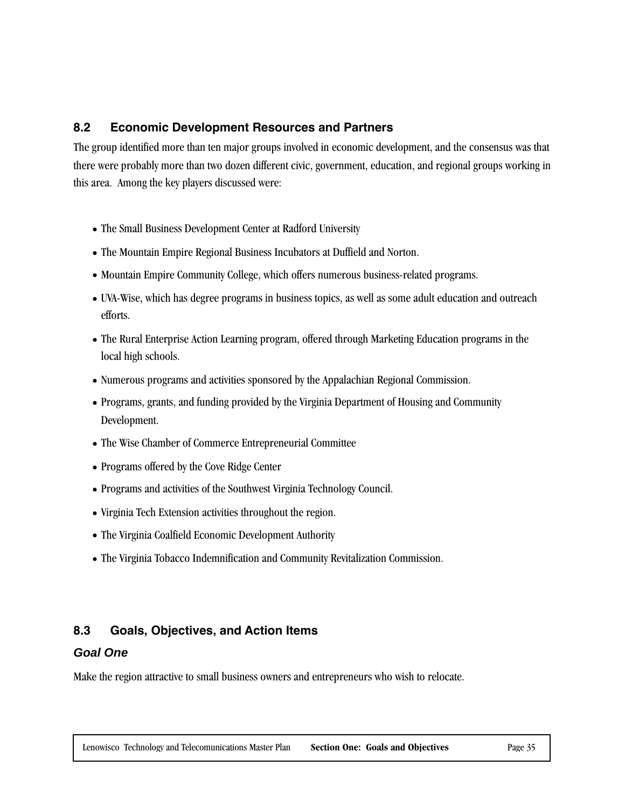#### **8.2 Economic Development Resources and Partners**

The group identified more than ten major groups involved in economic development, and the consensus was that there were probably more than two dozen different civic, government, education, and regional groups working in this area. Among the key players discussed were:

- The Small Business Development Center at Radford University
- The Mountain Empire Regional Business Incubators at Duffield and Norton.
- Mountain Empire Community College, which offers numerous business-related programs.
- UVA-Wise, which has degree programs in business topics, as well as some adult education and outreach efforts.
- The Rural Enterprise Action Learning program, offered through Marketing Education programs in the local high schools.
- Numerous programs and activities sponsored by the Appalachian Regional Commission.
- Programs, grants, and funding provided by the Virginia Department of Housing and Community Development.
- The Wise Chamber of Commerce Entrepreneurial Committee
- Programs offered by the Cove Ridge Center
- Programs and activities of the Southwest Virginia Technology Council.
- Virginia Tech Extension activities throughout the region.
- The Virginia Coalfield Economic Development Authority
- The Virginia Tobacco Indemnification and Community Revitalization Commission.

#### **8.3 Goals, Objectives, and Action Items**

#### **Goal One**

Make the region attractive to small business owners and entrepreneurs who wish to relocate.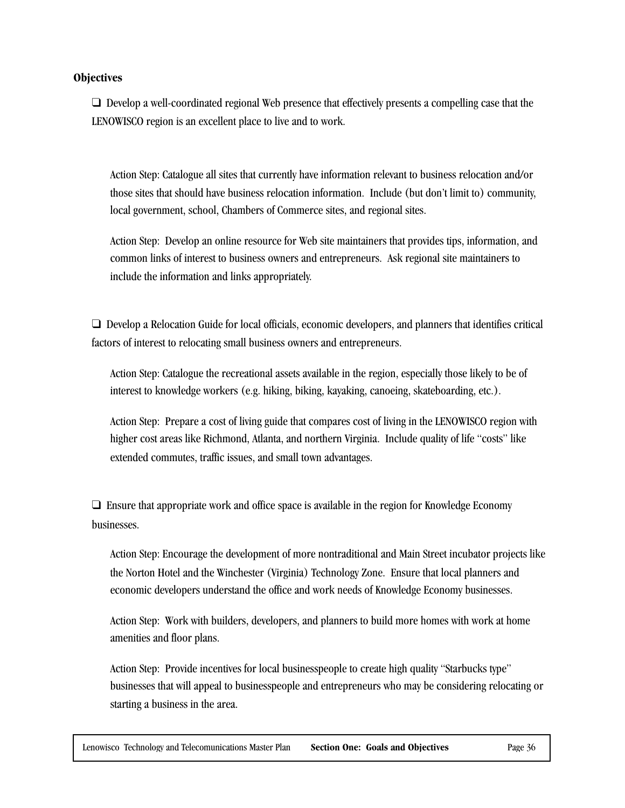#### **Objectives**

❑ Develop a well-coordinated regional Web presence that effectively presents a compelling case that the LENOWISCO region is an excellent place to live and to work.

Action Step: Catalogue all sites that currently have information relevant to business relocation and/or those sites that should have business relocation information. Include (but don't limit to) community, local government, school, Chambers of Commerce sites, and regional sites.

Action Step: Develop an online resource for Web site maintainers that provides tips, information, and common links of interest to business owners and entrepreneurs. Ask regional site maintainers to include the information and links appropriately.

❑ Develop a Relocation Guide for local officials, economic developers, and planners that identifies critical factors of interest to relocating small business owners and entrepreneurs.

Action Step: Catalogue the recreational assets available in the region, especially those likely to be of interest to knowledge workers (e.g. hiking, biking, kayaking, canoeing, skateboarding, etc.).

Action Step: Prepare a cost of living guide that compares cost of living in the LENOWISCO region with higher cost areas like Richmond, Atlanta, and northern Virginia. Include quality of life "costs" like extended commutes, traffic issues, and small town advantages.

 $\Box$  Ensure that appropriate work and office space is available in the region for Knowledge Economy businesses.

Action Step: Encourage the development of more nontraditional and Main Street incubator projects like the Norton Hotel and the Winchester (Virginia) Technology Zone. Ensure that local planners and economic developers understand the office and work needs of Knowledge Economy businesses.

Action Step: Work with builders, developers, and planners to build more homes with work at home amenities and floor plans.

Action Step: Provide incentives for local businesspeople to create high quality "Starbucks type" businesses that will appeal to businesspeople and entrepreneurs who may be considering relocating or starting a business in the area.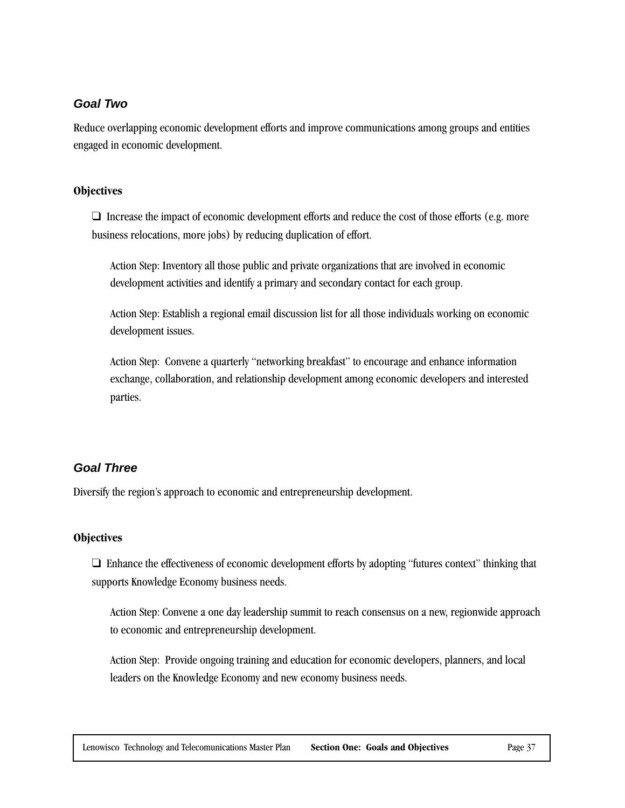#### **Goal Two**

Reduce overlapping economic development efforts and improve communications among groups and entities engaged in economic development.

#### **Objectives**

 $\Box$  Increase the impact of economic development efforts and reduce the cost of those efforts (e.g. more business relocations, more jobs) by reducing duplication of effort.

Action Step: Inventory all those public and private organizations that are involved in economic development activities and identify a primary and secondary contact for each group.

Action Step: Establish a regional email discussion list for all those individuals working on economic development issues.

Action Step: Convene a quarterly "networking breakfast" to encourage and enhance information exchange, collaboration, and relationship development among economic developers and interested parties.

#### **Goal Three**

Diversify the region's approach to economic and entrepreneurship development.

#### **Objectives**

❑ Enhance the effectiveness of economic development efforts by adopting "futures context" thinking that supports Knowledge Economy business needs.

Action Step: Convene a one day leadership summit to reach consensus on a new, regionwide approach to economic and entrepreneurship development.

Action Step: Provide ongoing training and education for economic developers, planners, and local leaders on the Knowledge Economy and new economy business needs.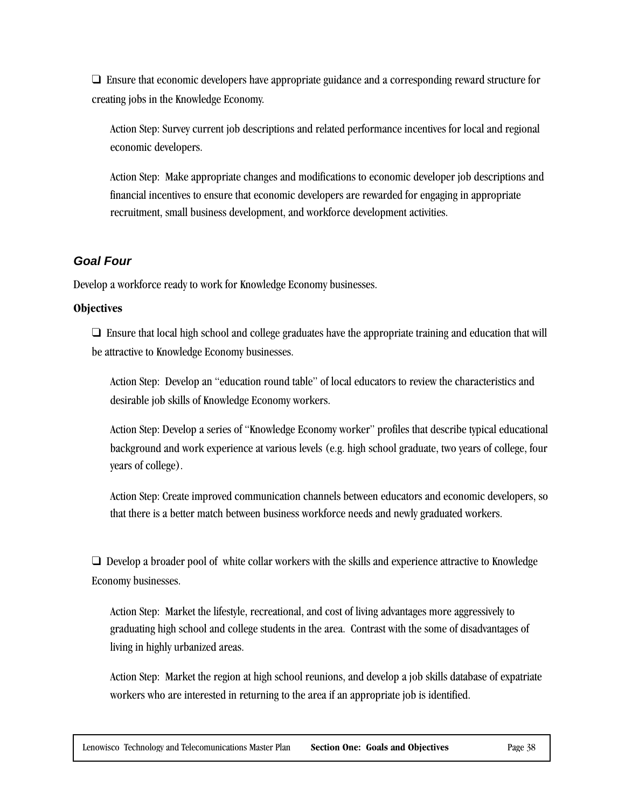❑ Ensure that economic developers have appropriate guidance and a corresponding reward structure for creating jobs in the Knowledge Economy.

Action Step: Survey current job descriptions and related performance incentives for local and regional economic developers.

Action Step: Make appropriate changes and modifications to economic developer job descriptions and financial incentives to ensure that economic developers are rewarded for engaging in appropriate recruitment, small business development, and workforce development activities.

#### **Goal Four**

Develop a workforce ready to work for Knowledge Economy businesses.

#### **Objectives**

❑ Ensure that local high school and college graduates have the appropriate training and education that will be attractive to Knowledge Economy businesses.

Action Step: Develop an "education round table" of local educators to review the characteristics and desirable job skills of Knowledge Economy workers.

Action Step: Develop a series of "Knowledge Economy worker" profiles that describe typical educational background and work experience at various levels (e.g. high school graduate, two years of college, four years of college).

Action Step: Create improved communication channels between educators and economic developers, so that there is a better match between business workforce needs and newly graduated workers.

❑ Develop a broader pool of white collar workers with the skills and experience attractive to Knowledge Economy businesses.

Action Step: Market the lifestyle, recreational, and cost of living advantages more aggressively to graduating high school and college students in the area. Contrast with the some of disadvantages of living in highly urbanized areas.

Action Step: Market the region at high school reunions, and develop a job skills database of expatriate workers who are interested in returning to the area if an appropriate job is identified.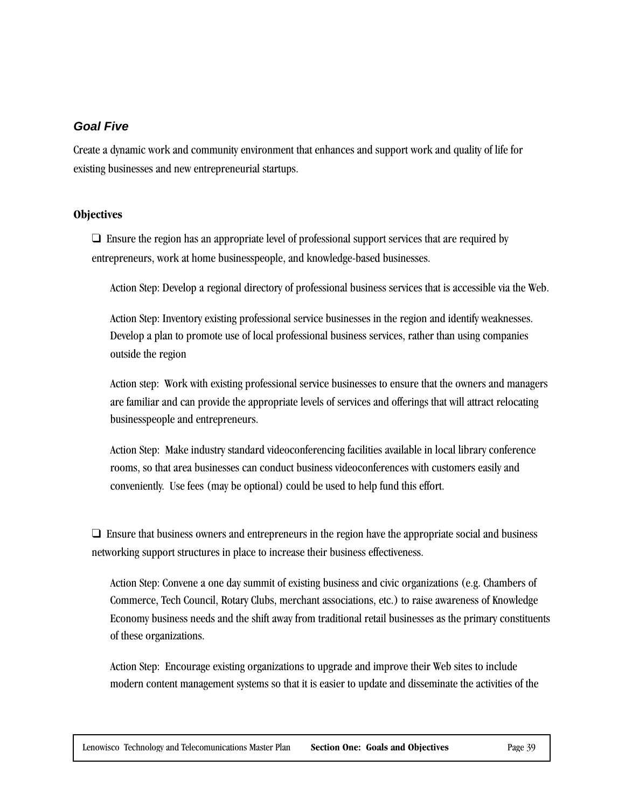#### **Goal Five**

Create a dynamic work and community environment that enhances and support work and quality of life for existing businesses and new entrepreneurial startups.

#### **Objectives**

 $\Box$  Ensure the region has an appropriate level of professional support services that are required by entrepreneurs, work at home businesspeople, and knowledge-based businesses.

Action Step: Develop a regional directory of professional business services that is accessible via the Web.

Action Step: Inventory existing professional service businesses in the region and identify weaknesses. Develop a plan to promote use of local professional business services, rather than using companies outside the region

Action step: Work with existing professional service businesses to ensure that the owners and managers are familiar and can provide the appropriate levels of services and offerings that will attract relocating businesspeople and entrepreneurs.

Action Step: Make industry standard videoconferencing facilities available in local library conference rooms, so that area businesses can conduct business videoconferences with customers easily and conveniently. Use fees (may be optional) could be used to help fund this effort.

❑ Ensure that business owners and entrepreneurs in the region have the appropriate social and business networking support structures in place to increase their business effectiveness.

Action Step: Convene a one day summit of existing business and civic organizations (e.g. Chambers of Commerce, Tech Council, Rotary Clubs, merchant associations, etc.) to raise awareness of Knowledge Economy business needs and the shift away from traditional retail businesses as the primary constituents of these organizations.

Action Step: Encourage existing organizations to upgrade and improve their Web sites to include modern content management systems so that it is easier to update and disseminate the activities of the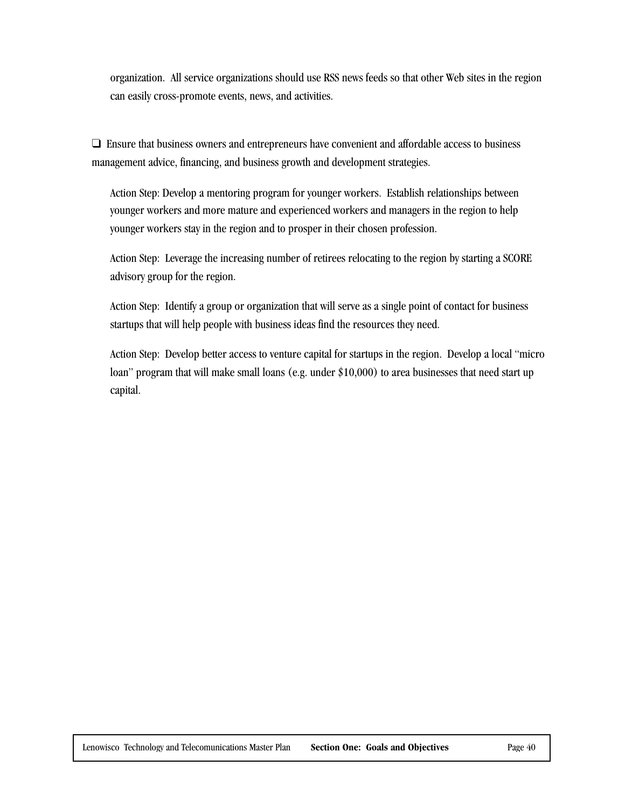organization. All service organizations should use RSS news feeds so that other Web sites in the region can easily cross-promote events, news, and activities.

❑ Ensure that business owners and entrepreneurs have convenient and affordable access to business management advice, financing, and business growth and development strategies.

Action Step: Develop a mentoring program for younger workers. Establish relationships between younger workers and more mature and experienced workers and managers in the region to help younger workers stay in the region and to prosper in their chosen profession.

Action Step: Leverage the increasing number of retirees relocating to the region by starting a SCORE advisory group for the region.

Action Step: Identify a group or organization that will serve as a single point of contact for business startups that will help people with business ideas find the resources they need.

Action Step: Develop better access to venture capital for startups in the region. Develop a local "micro loan" program that will make small loans (e.g. under \$10,000) to area businesses that need start up capital.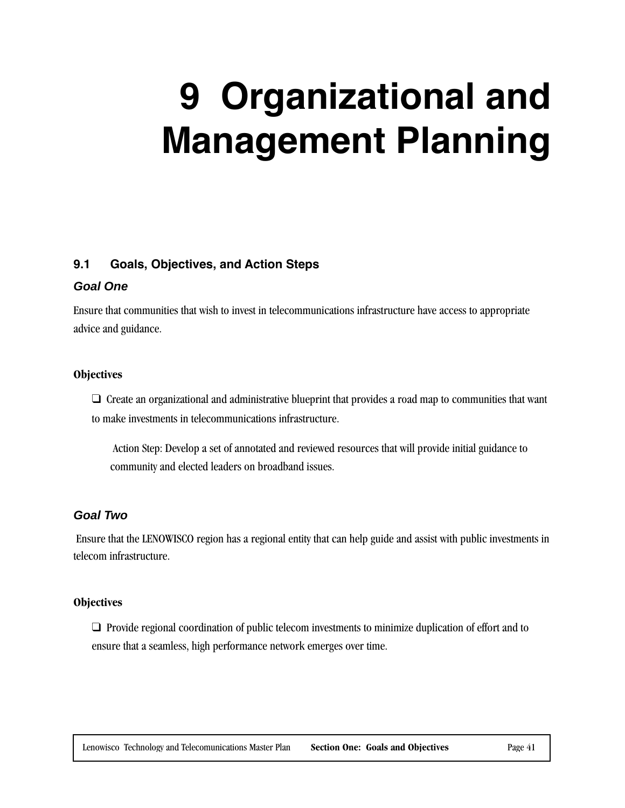## **9 Organizational and Management Planning**

#### **9.1 Goals, Objectives, and Action Steps**

#### **Goal One**

Ensure that communities that wish to invest in telecommunications infrastructure have access to appropriate advice and guidance.

#### **Objectives**

❑ Create an organizational and administrative blueprint that provides a road map to communities that want to make investments in telecommunications infrastructure.

 Action Step: Develop a set of annotated and reviewed resources that will provide initial guidance to community and elected leaders on broadband issues.

#### **Goal Two**

 Ensure that the LENOWISCO region has a regional entity that can help guide and assist with public investments in telecom infrastructure.

#### **Objectives**

❑ Provide regional coordination of public telecom investments to minimize duplication of effort and to ensure that a seamless, high performance network emerges over time.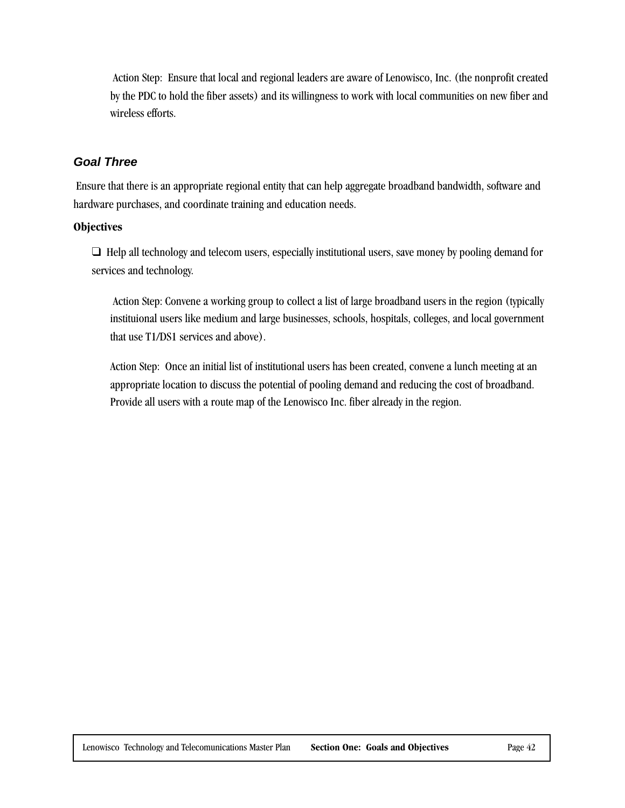Action Step: Ensure that local and regional leaders are aware of Lenowisco, Inc. (the nonprofit created by the PDC to hold the fiber assets) and its willingness to work with local communities on new fiber and wireless efforts.

#### **Goal Three**

 Ensure that there is an appropriate regional entity that can help aggregate broadband bandwidth, software and hardware purchases, and coordinate training and education needs.

#### **Objectives**

❑ Help all technology and telecom users, especially institutional users, save money by pooling demand for services and technology.

 Action Step: Convene a working group to collect a list of large broadband users in the region (typically instituional users like medium and large businesses, schools, hospitals, colleges, and local government that use T1/DS1 services and above).

Action Step: Once an initial list of institutional users has been created, convene a lunch meeting at an appropriate location to discuss the potential of pooling demand and reducing the cost of broadband. Provide all users with a route map of the Lenowisco Inc. fiber already in the region.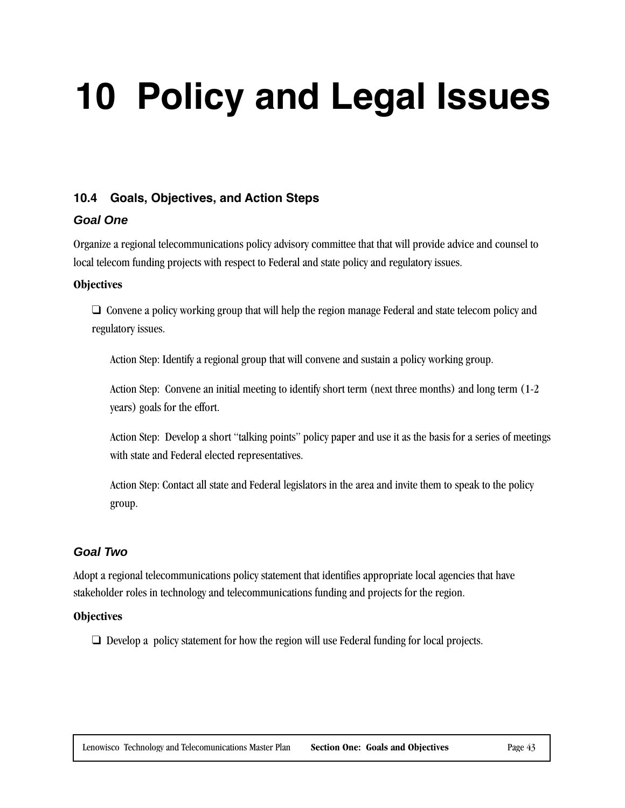## **10 Policy and Legal Issues**

#### **10.4 Goals, Objectives, and Action Steps**

#### **Goal One**

Organize a regional telecommunications policy advisory committee that that will provide advice and counsel to local telecom funding projects with respect to Federal and state policy and regulatory issues.

#### **Objectives**

❑ Convene a policy working group that will help the region manage Federal and state telecom policy and regulatory issues.

Action Step: Identify a regional group that will convene and sustain a policy working group.

Action Step: Convene an initial meeting to identify short term (next three months) and long term (1-2 years) goals for the effort.

Action Step: Develop a short "talking points" policy paper and use it as the basis for a series of meetings with state and Federal elected representatives.

Action Step: Contact all state and Federal legislators in the area and invite them to speak to the policy group.

#### **Goal Two**

Adopt a regional telecommunications policy statement that identifies appropriate local agencies that have stakeholder roles in technology and telecommunications funding and projects for the region.

#### **Objectives**

❑ Develop a policy statement for how the region will use Federal funding for local projects.